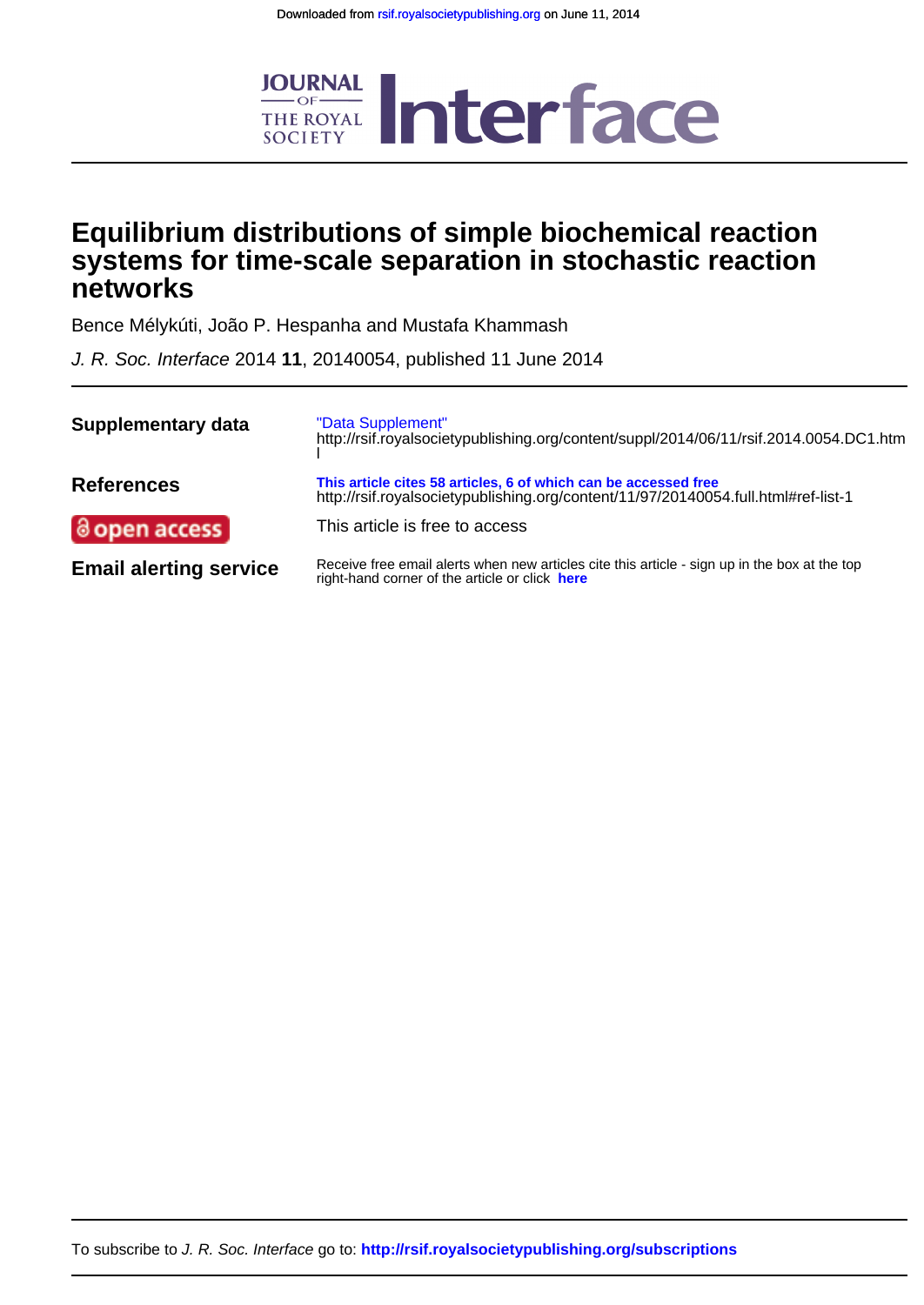

# **networks systems for time-scale separation in stochastic reaction Equilibrium distributions of simple biochemical reaction**

Bence Mélykúti, João P. Hespanha and Mustafa Khammash

J. R. Soc. Interface 2014 **11**, 20140054, published 11 June 2014

| <b>Supplementary data</b>     | "Data Supplement"<br>http://rsif.royalsocietypublishing.org/content/suppl/2014/06/11/rsif.2014.0054.DC1.htm                                           |
|-------------------------------|-------------------------------------------------------------------------------------------------------------------------------------------------------|
| <b>References</b>             | This article cites 58 articles, 6 of which can be accessed free<br>http://rsif.royalsocietypublishing.org/content/11/97/20140054.full.html#ref-list-1 |
| @ open access                 | This article is free to access                                                                                                                        |
| <b>Email alerting service</b> | Receive free email alerts when new articles cite this article - sign up in the box at the top<br>right-hand corner of the article or click here       |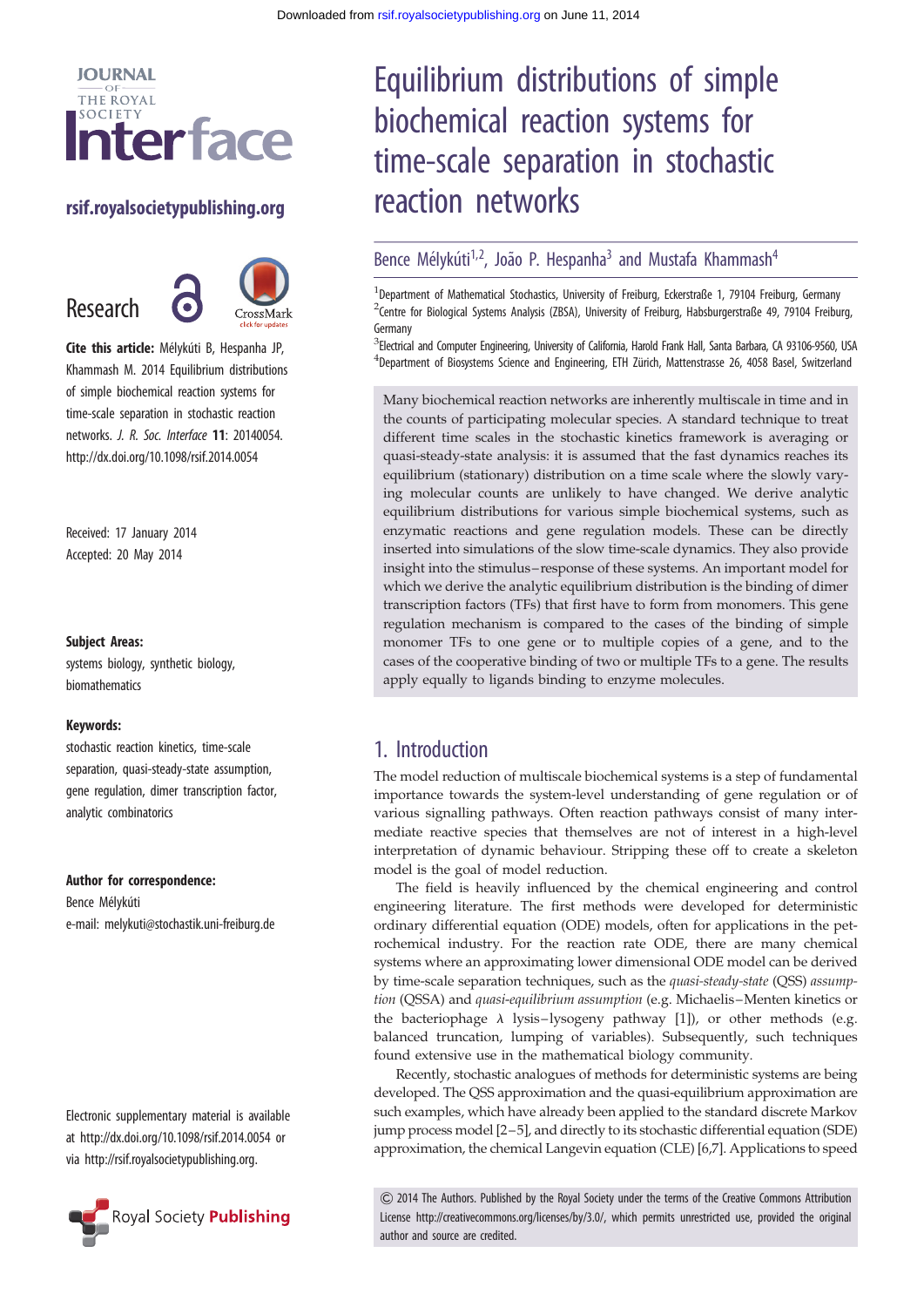

### rsif.royalsocietypublishing.org

Research



Cite this article: Mélykúti B, Hespanha JP, Khammash M. 2014 Equilibrium distributions of simple biochemical reaction systems for time-scale separation in stochastic reaction networks. J. R. Soc. Interface 11: 20140054. http://dx.doi.org/10.1098/rsif.2014.0054

Received: 17 January 2014 Accepted: 20 May 2014

#### Subject Areas:

systems biology, synthetic biology, biomathematics

#### Keywords:

stochastic reaction kinetics, time-scale separation, quasi-steady-state assumption, gene regulation, dimer transcription factor, analytic combinatorics

#### Author for correspondence:

Bence Mélykúti e-mail: [melykuti@stochastik.uni-freiburg.de](mailto:melykuti@stochastik.uni-freiburg.de)

Electronic supplementary material is available at<http://dx.doi.org/10.1098/rsif.2014.0054> or via<http://rsif.royalsocietypublishing.org>.



# Equilibrium distributions of simple biochemical reaction systems for time-scale separation in stochastic reaction networks

### Bence Mélykúti<sup>1,2</sup>, João P. Hespanha<sup>3</sup> and Mustafa Khammash<sup>4</sup>

<sup>1</sup>Department of Mathematical Stochastics, University of Freiburg, Eckerstraße 1, 79104 Freiburg, Germany  $^{2}$ Centre for Biological Systems Analysis (ZBSA), University of Freiburg, Habsburgerstraße 49, 79104 Freiburg, Germany

<sup>3</sup>Electrical and Computer Engineering, University of California, Harold Frank Hall, Santa Barbara, CA 93106-9560, USA <sup>4</sup>Department of Biosystems Science and Engineering, ETH Zürich, Mattenstrasse 26, 4058 Basel, Switzerland

Many biochemical reaction networks are inherently multiscale in time and in the counts of participating molecular species. A standard technique to treat different time scales in the stochastic kinetics framework is averaging or quasi-steady-state analysis: it is assumed that the fast dynamics reaches its equilibrium (stationary) distribution on a time scale where the slowly varying molecular counts are unlikely to have changed. We derive analytic equilibrium distributions for various simple biochemical systems, such as enzymatic reactions and gene regulation models. These can be directly inserted into simulations of the slow time-scale dynamics. They also provide insight into the stimulus– response of these systems. An important model for which we derive the analytic equilibrium distribution is the binding of dimer transcription factors (TFs) that first have to form from monomers. This gene regulation mechanism is compared to the cases of the binding of simple monomer TFs to one gene or to multiple copies of a gene, and to the cases of the cooperative binding of two or multiple TFs to a gene. The results apply equally to ligands binding to enzyme molecules.

# 1. Introduction

The model reduction of multiscale biochemical systems is a step of fundamental importance towards the system-level understanding of gene regulation or of various signalling pathways. Often reaction pathways consist of many intermediate reactive species that themselves are not of interest in a high-level interpretation of dynamic behaviour. Stripping these off to create a skeleton model is the goal of model reduction.

The field is heavily influenced by the chemical engineering and control engineering literature. The first methods were developed for deterministic ordinary differential equation (ODE) models, often for applications in the petrochemical industry. For the reaction rate ODE, there are many chemical systems where an approximating lower dimensional ODE model can be derived by time-scale separation techniques, such as the quasi-steady-state (QSS) assumption (QSSA) and quasi-equilibrium assumption (e.g. Michaelis–Menten kinetics or the bacteriophage  $\lambda$  lysis–lysogeny pathway [[1](#page-11-0)]), or other methods (e.g. balanced truncation, lumping of variables). Subsequently, such techniques found extensive use in the mathematical biology community.

Recently, stochastic analogues of methods for deterministic systems are being developed. The QSS approximation and the quasi-equilibrium approximation are such examples, which have already been applied to the standard discrete Markov jump process model [[2](#page-11-0)–[5\]](#page-12-0), and directly to its stochastic differential equation (SDE) approximation, the chemical Langevin equation (CLE) [\[6,7](#page-12-0)]. Applications to speed

& 2014 The Authors. Published by the Royal Society under the terms of the Creative Commons Attribution License http://creativecommons.org/licenses/by/3.0/, which permits unrestricted use, provided the original author and source are credited.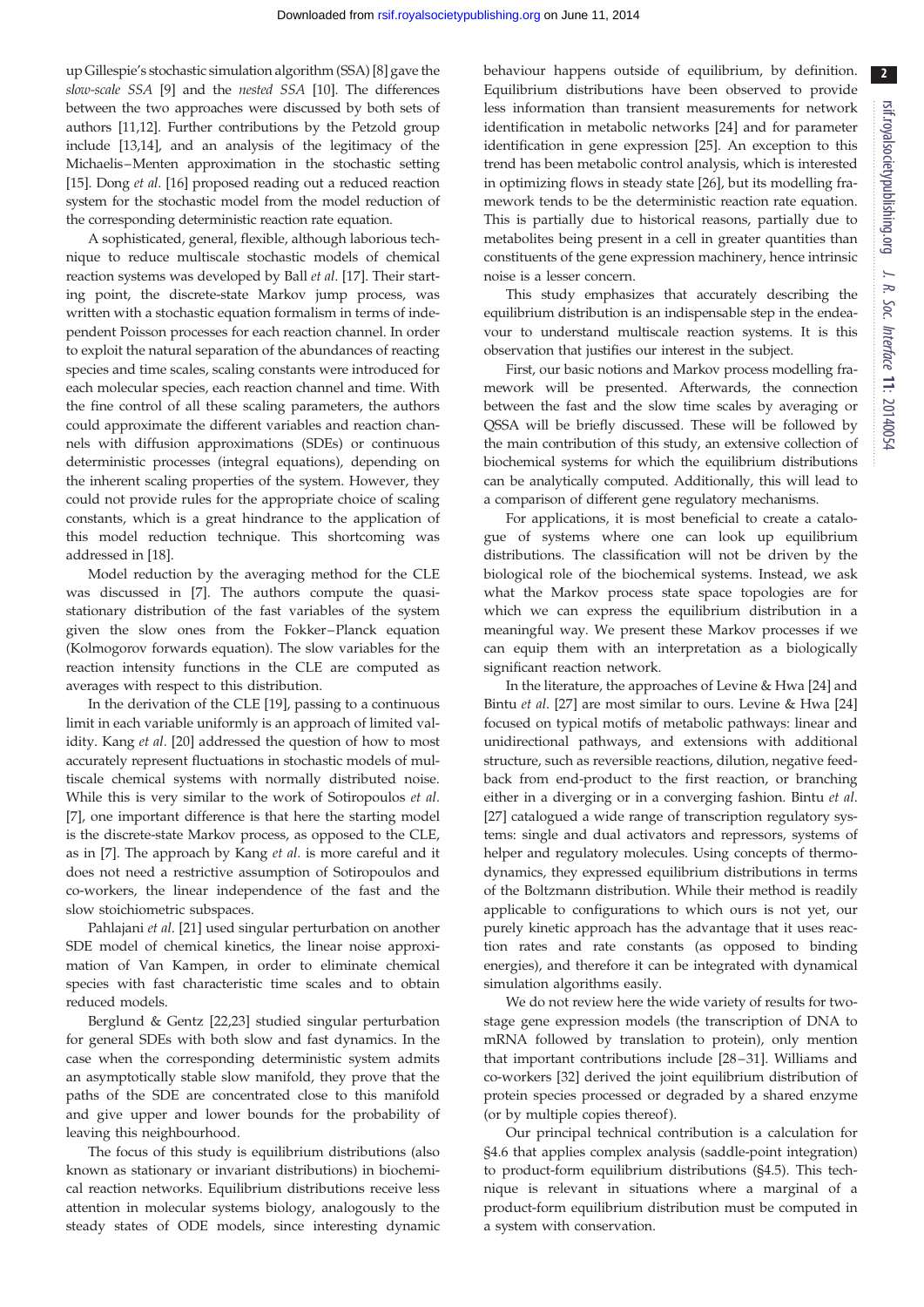$\overline{\mathbf{2}}$ 

up Gillespie's stochastic simulation algorithm (SSA) [[8](#page-12-0)] gave the slow-scale SSA [[9](#page-12-0)] and the nested SSA [\[10](#page-12-0)]. The differences between the two approaches were discussed by both sets of authors [\[11,12\]](#page-12-0). Further contributions by the Petzold group include [\[13,14](#page-12-0)], and an analysis of the legitimacy of the Michaelis–Menten approximation in the stochastic setting [\[15](#page-12-0)]. Dong et al. [[16](#page-12-0)] proposed reading out a reduced reaction system for the stochastic model from the model reduction of the corresponding deterministic reaction rate equation.

A sophisticated, general, flexible, although laborious technique to reduce multiscale stochastic models of chemical reaction systems was developed by Ball et al. [\[17](#page-12-0)]. Their starting point, the discrete-state Markov jump process, was written with a stochastic equation formalism in terms of independent Poisson processes for each reaction channel. In order to exploit the natural separation of the abundances of reacting species and time scales, scaling constants were introduced for each molecular species, each reaction channel and time. With the fine control of all these scaling parameters, the authors could approximate the different variables and reaction channels with diffusion approximations (SDEs) or continuous deterministic processes (integral equations), depending on the inherent scaling properties of the system. However, they could not provide rules for the appropriate choice of scaling constants, which is a great hindrance to the application of this model reduction technique. This shortcoming was addressed in [[18\]](#page-12-0).

Model reduction by the averaging method for the CLE was discussed in [\[7\]](#page-12-0). The authors compute the quasistationary distribution of the fast variables of the system given the slow ones from the Fokker–Planck equation (Kolmogorov forwards equation). The slow variables for the reaction intensity functions in the CLE are computed as averages with respect to this distribution.

In the derivation of the CLE [\[19](#page-12-0)], passing to a continuous limit in each variable uniformly is an approach of limited validity. Kang et al. [\[20](#page-12-0)] addressed the question of how to most accurately represent fluctuations in stochastic models of multiscale chemical systems with normally distributed noise. While this is very similar to the work of Sotiropoulos et al. [\[7\]](#page-12-0), one important difference is that here the starting model is the discrete-state Markov process, as opposed to the CLE, as in [[7](#page-12-0)]. The approach by Kang et al. is more careful and it does not need a restrictive assumption of Sotiropoulos and co-workers, the linear independence of the fast and the slow stoichiometric subspaces.

Pahlajani et al. [\[21](#page-12-0)] used singular perturbation on another SDE model of chemical kinetics, the linear noise approximation of Van Kampen, in order to eliminate chemical species with fast characteristic time scales and to obtain reduced models.

Berglund & Gentz [[22,23](#page-12-0)] studied singular perturbation for general SDEs with both slow and fast dynamics. In the case when the corresponding deterministic system admits an asymptotically stable slow manifold, they prove that the paths of the SDE are concentrated close to this manifold and give upper and lower bounds for the probability of leaving this neighbourhood.

The focus of this study is equilibrium distributions (also known as stationary or invariant distributions) in biochemical reaction networks. Equilibrium distributions receive less attention in molecular systems biology, analogously to the steady states of ODE models, since interesting dynamic behaviour happens outside of equilibrium, by definition. Equilibrium distributions have been observed to provide less information than transient measurements for network identification in metabolic networks [[24\]](#page-12-0) and for parameter identification in gene expression [[25\]](#page-12-0). An exception to this trend has been metabolic control analysis, which is interested in optimizing flows in steady state [[26\]](#page-12-0), but its modelling framework tends to be the deterministic reaction rate equation. This is partially due to historical reasons, partially due to metabolites being present in a cell in greater quantities than constituents of the gene expression machinery, hence intrinsic noise is a lesser concern.

This study emphasizes that accurately describing the equilibrium distribution is an indispensable step in the endeavour to understand multiscale reaction systems. It is this observation that justifies our interest in the subject.

First, our basic notions and Markov process modelling framework will be presented. Afterwards, the connection between the fast and the slow time scales by averaging or QSSA will be briefly discussed. These will be followed by the main contribution of this study, an extensive collection of biochemical systems for which the equilibrium distributions can be analytically computed. Additionally, this will lead to a comparison of different gene regulatory mechanisms.

For applications, it is most beneficial to create a catalogue of systems where one can look up equilibrium distributions. The classification will not be driven by the biological role of the biochemical systems. Instead, we ask what the Markov process state space topologies are for which we can express the equilibrium distribution in a meaningful way. We present these Markov processes if we can equip them with an interpretation as a biologically significant reaction network.

In the literature, the approaches of Levine & Hwa [[24\]](#page-12-0) and Bintu et al. [\[27](#page-12-0)] are most similar to ours. Levine & Hwa [[24\]](#page-12-0) focused on typical motifs of metabolic pathways: linear and unidirectional pathways, and extensions with additional structure, such as reversible reactions, dilution, negative feedback from end-product to the first reaction, or branching either in a diverging or in a converging fashion. Bintu et al. [[27\]](#page-12-0) catalogued a wide range of transcription regulatory systems: single and dual activators and repressors, systems of helper and regulatory molecules. Using concepts of thermodynamics, they expressed equilibrium distributions in terms of the Boltzmann distribution. While their method is readily applicable to configurations to which ours is not yet, our purely kinetic approach has the advantage that it uses reaction rates and rate constants (as opposed to binding energies), and therefore it can be integrated with dynamical simulation algorithms easily.

We do not review here the wide variety of results for twostage gene expression models (the transcription of DNA to mRNA followed by translation to protein), only mention that important contributions include [[28](#page-12-0) –[31](#page-12-0)]. Williams and co-workers [[32\]](#page-12-0) derived the joint equilibrium distribution of protein species processed or degraded by a shared enzyme (or by multiple copies thereof ).

Our principal technical contribution is a calculation for §4.6 that applies complex analysis (saddle-point integration) to product-form equilibrium distributions (§4.5). This technique is relevant in situations where a marginal of a product-form equilibrium distribution must be computed in a system with conservation.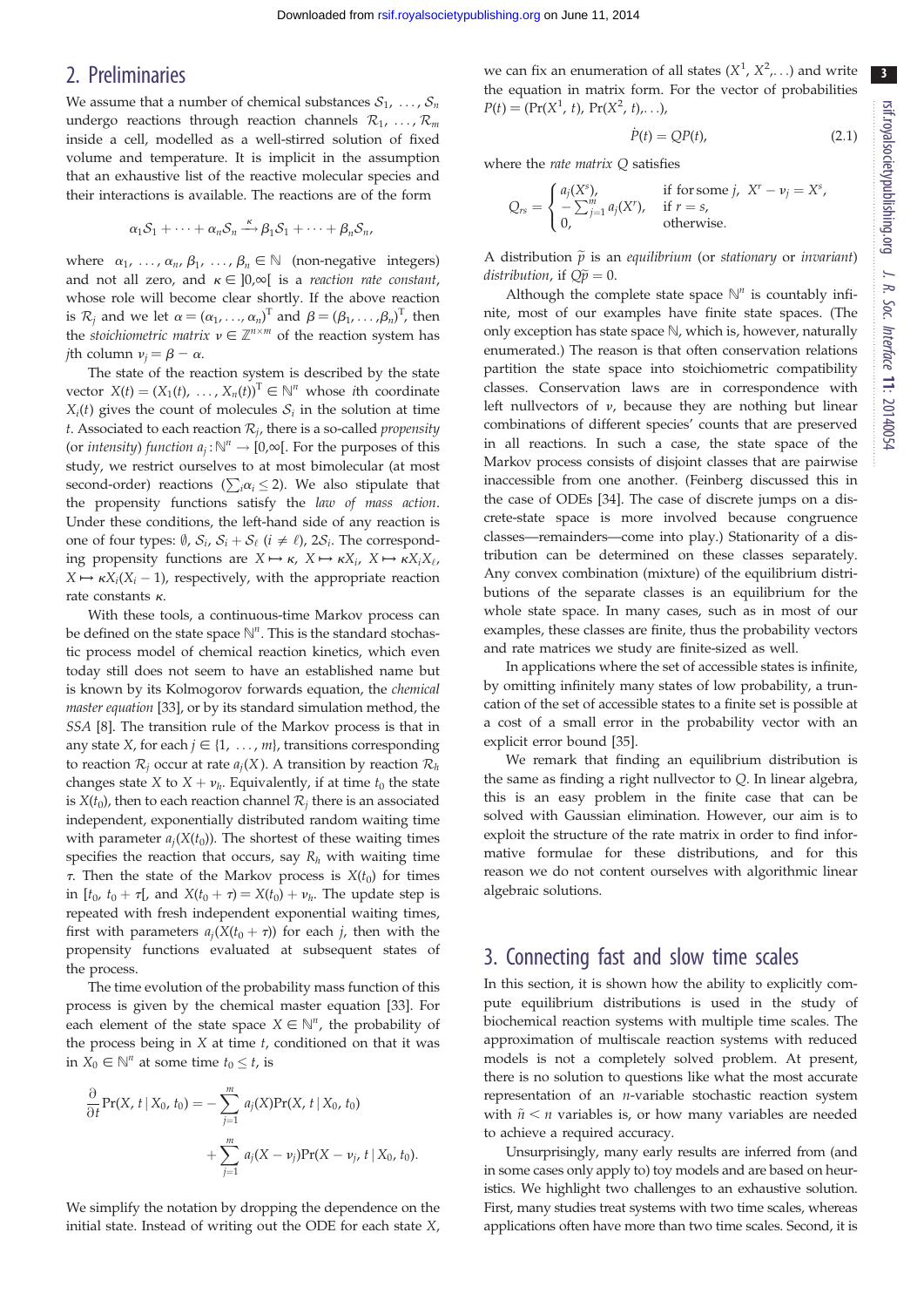### 2. Preliminaries

We assume that a number of chemical substances  $S_1, \ldots, S_n$ undergo reactions through reaction channels  $\mathcal{R}_1, \ldots, \mathcal{R}_m$ inside a cell, modelled as a well-stirred solution of fixed volume and temperature. It is implicit in the assumption that an exhaustive list of the reactive molecular species and their interactions is available. The reactions are of the form

$$
\alpha_1 S_1 + \cdots + \alpha_n S_n \xrightarrow{\kappa} \beta_1 S_1 + \cdots + \beta_n S_n,
$$

where  $\alpha_1, \ldots, \alpha_n, \beta_1, \ldots, \beta_n \in \mathbb{N}$  (non-negative integers) and not all zero, and  $\kappa \in ]0,\infty[$  is a *reaction rate constant*, whose role will become clear shortly. If the above reaction is  $\mathcal{R}_j$  and we let  $\alpha = (\alpha_1, ..., \alpha_n)^T$  and  $\beta = (\beta_1, ..., \beta_n)^T$ , then the *stoichiometric matrix*  $v \in \mathbb{Z}^{n \times m}$  of the reaction system has *j*th column  $v_i = \beta - \alpha$ .

The state of the reaction system is described by the state vector  $X(t) = (X_1(t), \ldots, X_n(t))^T \in \mathbb{N}^n$  whose *i*th coordinate  $X_i(t)$  gives the count of molecules  $S_i$  in the solution at time t. Associated to each reaction  $\mathcal{R}_i$ , there is a so-called propensity (or *intensity*) function  $a_i : \mathbb{N}^n \to [0,\infty[$ . For the purposes of this study, we restrict ourselves to at most bimolecular (at most second-order) reactions ( $\sum_i \alpha_i \leq 2$ ). We also stipulate that the propensity functions satisfy the law of mass action. Under these conditions, the left-hand side of any reaction is one of four types:  $\emptyset$ ,  $S_i$ ,  $S_i + S_\ell$  ( $i \neq \ell$ ),  $2S_i$ . The corresponding propensity functions are  $X \mapsto \kappa X_i$ ,  $X \mapsto \kappa X_i X_{i}$ ,  $X \mapsto \kappa X_i(X_i - 1)$ , respectively, with the appropriate reaction rate constants  $\kappa$ .

With these tools, a continuous-time Markov process can be defined on the state space  $\mathbb{N}^n$ . This is the standard stochastic process model of chemical reaction kinetics, which even today still does not seem to have an established name but is known by its Kolmogorov forwards equation, the chemical master equation [\[33](#page-12-0)], or by its standard simulation method, the SSA [[8\]](#page-12-0). The transition rule of the Markov process is that in any state X, for each  $j \in \{1, ..., m\}$ , transitions corresponding to reaction  $\mathcal{R}_i$  occur at rate  $a_i(X)$ . A transition by reaction  $\mathcal{R}_h$ changes state X to  $X + \nu_h$ . Equivalently, if at time  $t_0$  the state is  $X(t_0)$ , then to each reaction channel  $\mathcal{R}_i$  there is an associated independent, exponentially distributed random waiting time with parameter  $a_i(X(t_0))$ . The shortest of these waiting times specifies the reaction that occurs, say  $R_h$  with waiting time  $\tau$ . Then the state of the Markov process is  $X(t_0)$  for times in  $[t_0, t_0 + \tau]$ , and  $X(t_0 + \tau) = X(t_0) + \nu_h$ . The update step is repeated with fresh independent exponential waiting times, first with parameters  $a_i(X(t_0 + \tau))$  for each j, then with the propensity functions evaluated at subsequent states of the process.

The time evolution of the probability mass function of this process is given by the chemical master equation [\[33](#page-12-0)]. For each element of the state space  $X \in \mathbb{N}^n$ , the probability of the process being in  $X$  at time  $t$ , conditioned on that it was in  $X_0 \in \mathbb{N}^n$  at some time  $t_0 \leq t$ , is

$$
\frac{\partial}{\partial t} \Pr(X, t \mid X_0, t_0) = -\sum_{j=1}^m a_j(X) \Pr(X, t \mid X_0, t_0) + \sum_{j=1}^m a_j(X - \nu_j) \Pr(X - \nu_j, t \mid X_0, t_0).
$$

We simplify the notation by dropping the dependence on the initial state. Instead of writing out the ODE for each state X,

we can fix an enumeration of all states  $(X^1, X^2, ...)$  and write the equation in matrix form. For the vector of probabilities  $P(t) = (\Pr(X^1, t), \Pr(X^2, t), \ldots)$ 

$$
\dot{P}(t) = QP(t),\tag{2.1}
$$

where the rate matrix Q satisfies

$$
Q_{rs} = \begin{cases} a_j(X^s), & \text{if for some } j, \ X^r - \nu_j = X^s, \\ -\sum_{j=1}^m a_j(X^r), & \text{if } r = s, \\ 0, & \text{otherwise.} \end{cases}
$$

A distribution  $\tilde{p}$  is an equilibrium (or stationary or invariant) distribution, if  $Q\tilde{p} = 0$ .

Although the complete state space  $\mathbb{N}^n$  is countably infinite, most of our examples have finite state spaces. (The only exception has state space N, which is, however, naturally enumerated.) The reason is that often conservation relations partition the state space into stoichiometric compatibility classes. Conservation laws are in correspondence with left nullvectors of  $v$ , because they are nothing but linear combinations of different species' counts that are preserved in all reactions. In such a case, the state space of the Markov process consists of disjoint classes that are pairwise inaccessible from one another. (Feinberg discussed this in the case of ODEs [\[34](#page-12-0)]. The case of discrete jumps on a discrete-state space is more involved because congruence classes—remainders—come into play.) Stationarity of a distribution can be determined on these classes separately. Any convex combination (mixture) of the equilibrium distributions of the separate classes is an equilibrium for the whole state space. In many cases, such as in most of our examples, these classes are finite, thus the probability vectors and rate matrices we study are finite-sized as well.

In applications where the set of accessible states is infinite, by omitting infinitely many states of low probability, a truncation of the set of accessible states to a finite set is possible at a cost of a small error in the probability vector with an explicit error bound [\[35](#page-12-0)].

We remark that finding an equilibrium distribution is the same as finding a right nullvector to Q. In linear algebra, this is an easy problem in the finite case that can be solved with Gaussian elimination. However, our aim is to exploit the structure of the rate matrix in order to find informative formulae for these distributions, and for this reason we do not content ourselves with algorithmic linear algebraic solutions.

# 3. Connecting fast and slow time scales

In this section, it is shown how the ability to explicitly compute equilibrium distributions is used in the study of biochemical reaction systems with multiple time scales. The approximation of multiscale reaction systems with reduced models is not a completely solved problem. At present, there is no solution to questions like what the most accurate representation of an n-variable stochastic reaction system with  $n \leq n$  variables is, or how many variables are needed to achieve a required accuracy.

Unsurprisingly, many early results are inferred from (and in some cases only apply to) toy models and are based on heuristics. We highlight two challenges to an exhaustive solution. First, many studies treat systems with two time scales, whereas applications often have more than two time scales. Second, it is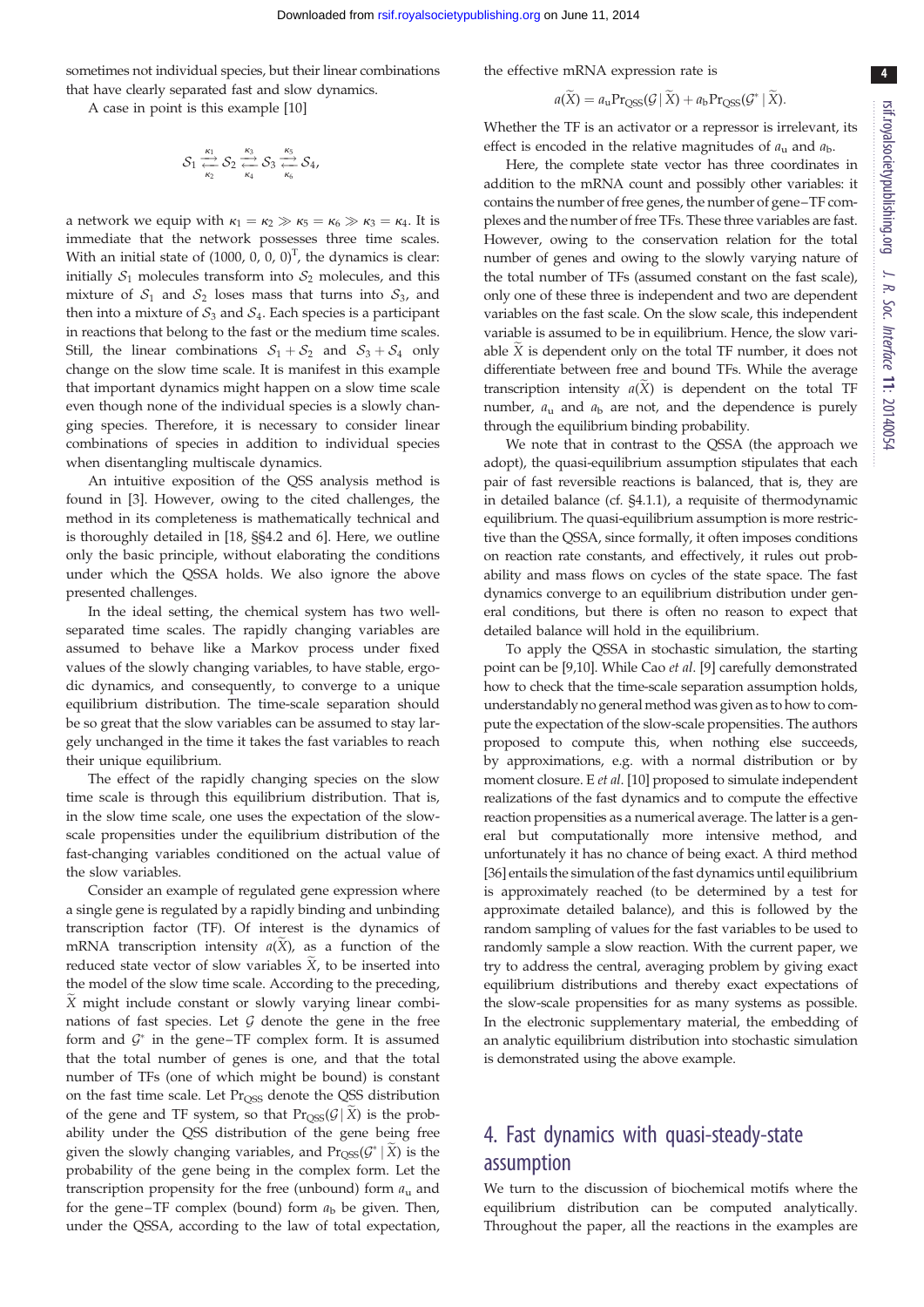sometimes not individual species, but their linear combinations that have clearly separated fast and slow dynamics.

A case in point is this example [[10\]](#page-12-0)

$$
\mathcal{S}_1 \overset{\kappa_1}{\underset{\kappa_2}{\longleftrightarrow}} \mathcal{S}_2 \overset{\kappa_3}{\underset{\kappa_4}{\longleftrightarrow}} \mathcal{S}_3 \overset{\kappa_5}{\underset{\kappa_6}{\longrightarrow}} \mathcal{S}_4,
$$

a network we equip with  $\kappa_1 = \kappa_2 \gg \kappa_5 = \kappa_6 \gg \kappa_3 = \kappa_4$ . It is immediate that the network possesses three time scales. With an initial state of (1000, 0, 0, 0)<sup>T</sup>, the dynamics is clear: initially  $S_1$  molecules transform into  $S_2$  molecules, and this mixture of  $S_1$  and  $S_2$  loses mass that turns into  $S_3$ , and then into a mixture of  $S_3$  and  $S_4$ . Each species is a participant in reactions that belong to the fast or the medium time scales. Still, the linear combinations  $S_1 + S_2$  and  $S_3 + S_4$  only change on the slow time scale. It is manifest in this example that important dynamics might happen on a slow time scale even though none of the individual species is a slowly changing species. Therefore, it is necessary to consider linear combinations of species in addition to individual species when disentangling multiscale dynamics.

An intuitive exposition of the QSS analysis method is found in [[3](#page-11-0)]. However, owing to the cited challenges, the method in its completeness is mathematically technical and is thoroughly detailed in [[18,](#page-12-0) §§4.2 and 6]. Here, we outline only the basic principle, without elaborating the conditions under which the QSSA holds. We also ignore the above presented challenges.

In the ideal setting, the chemical system has two wellseparated time scales. The rapidly changing variables are assumed to behave like a Markov process under fixed values of the slowly changing variables, to have stable, ergodic dynamics, and consequently, to converge to a unique equilibrium distribution. The time-scale separation should be so great that the slow variables can be assumed to stay largely unchanged in the time it takes the fast variables to reach their unique equilibrium.

The effect of the rapidly changing species on the slow time scale is through this equilibrium distribution. That is, in the slow time scale, one uses the expectation of the slowscale propensities under the equilibrium distribution of the fast-changing variables conditioned on the actual value of the slow variables.

Consider an example of regulated gene expression where a single gene is regulated by a rapidly binding and unbinding transcription factor (TF). Of interest is the dynamics of mRNA transcription intensity  $a(\tilde{X})$ , as a function of the reduced state vector of slow variables  $\widetilde{X}$ , to be inserted into the model of the slow time scale. According to the preceding,  $\widetilde{X}$  might include constant or slowly varying linear combinations of fast species. Let  $G$  denote the gene in the free form and  $\mathcal{G}^*$  in the gene-TF complex form. It is assumed that the total number of genes is one, and that the total number of TFs (one of which might be bound) is constant on the fast time scale. Let Pr<sub>OSS</sub> denote the QSS distribution of the gene and TF system, so that  $\text{Pr}_{\text{QSS}}(\mathcal{G} | \hat{X})$  is the probability under the QSS distribution of the gene being free given the slowly changing variables, and  $\text{Pross}(\mathcal{G}^* | X)$  is the probability of the gene being in the complex form. Let the transcription propensity for the free (unbound) form  $a<sub>u</sub>$  and for the gene-TF complex (bound) form  $a<sub>b</sub>$  be given. Then, under the QSSA, according to the law of total expectation,

the effective mRNA expression rate is

$$
a(\widetilde{X}) = a_{\mathrm{u}} \mathrm{Pr}_{\mathrm{QSS}}(\mathcal{G} \mid \widetilde{X}) + a_{\mathrm{b}} \mathrm{Pr}_{\mathrm{QSS}}(\mathcal{G}^* \mid \widetilde{X}).
$$

Whether the TF is an activator or a repressor is irrelevant, its effect is encoded in the relative magnitudes of  $a<sub>u</sub>$  and  $a<sub>b</sub>$ .

Here, the complete state vector has three coordinates in addition to the mRNA count and possibly other variables: it contains the number of free genes, the number of gene–TF complexes and the number of free TFs. These three variables are fast. However, owing to the conservation relation for the total number of genes and owing to the slowly varying nature of the total number of TFs (assumed constant on the fast scale), only one of these three is independent and two are dependent variables on the fast scale. On the slow scale, this independent variable is assumed to be in equilibrium. Hence, the slow variable  $\bar{X}$  is dependent only on the total TF number, it does not differentiate between free and bound TFs. While the average transcription intensity  $a(X)$  is dependent on the total TF number,  $a_{\rm u}$  and  $a_{\rm b}$  are not, and the dependence is purely through the equilibrium binding probability.

We note that in contrast to the QSSA (the approach we adopt), the quasi-equilibrium assumption stipulates that each pair of fast reversible reactions is balanced, that is, they are in detailed balance (cf. §4.1.1), a requisite of thermodynamic equilibrium. The quasi-equilibrium assumption is more restrictive than the QSSA, since formally, it often imposes conditions on reaction rate constants, and effectively, it rules out probability and mass flows on cycles of the state space. The fast dynamics converge to an equilibrium distribution under general conditions, but there is often no reason to expect that detailed balance will hold in the equilibrium.

To apply the QSSA in stochastic simulation, the starting point can be [\[9](#page-12-0),[10](#page-12-0)]. While Cao et al. [[9](#page-12-0)] carefully demonstrated how to check that the time-scale separation assumption holds, understandably no general method was given as to how to compute the expectation of the slow-scale propensities. The authors proposed to compute this, when nothing else succeeds, by approximations, e.g. with a normal distribution or by moment closure. E et al. [\[10\]](#page-12-0) proposed to simulate independent realizations of the fast dynamics and to compute the effective reaction propensities as a numerical average. The latter is a general but computationally more intensive method, and unfortunately it has no chance of being exact. A third method [[36](#page-12-0)] entails the simulation of the fast dynamics until equilibrium is approximately reached (to be determined by a test for approximate detailed balance), and this is followed by the random sampling of values for the fast variables to be used to randomly sample a slow reaction. With the current paper, we try to address the central, averaging problem by giving exact equilibrium distributions and thereby exact expectations of the slow-scale propensities for as many systems as possible. In the electronic supplementary material, the embedding of an analytic equilibrium distribution into stochastic simulation is demonstrated using the above example.

# 4. Fast dynamics with quasi-steady-state assumption

We turn to the discussion of biochemical motifs where the equilibrium distribution can be computed analytically. Throughout the paper, all the reactions in the examples are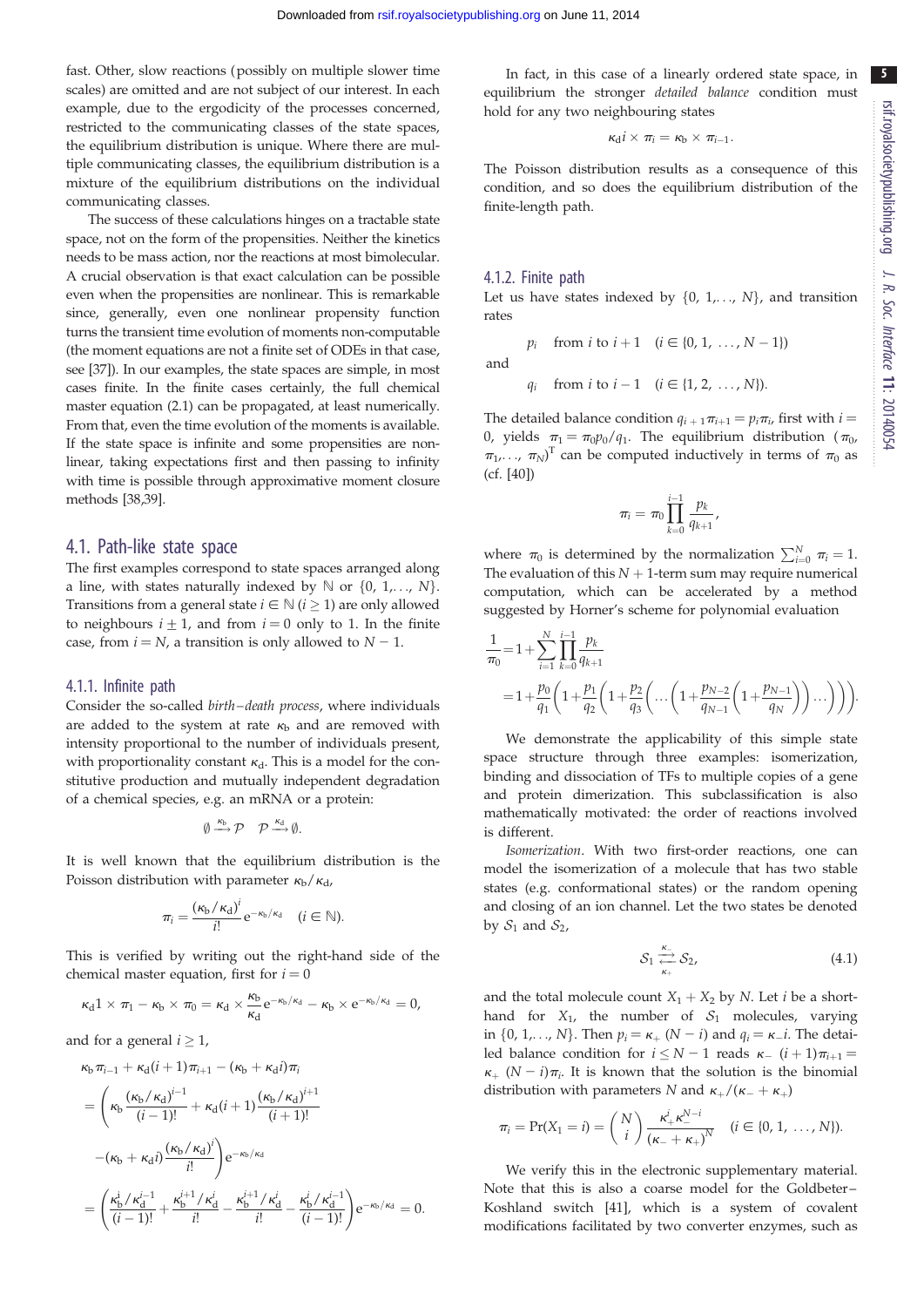fast. Other, slow reactions (possibly on multiple slower time scales) are omitted and are not subject of our interest. In each example, due to the ergodicity of the processes concerned, restricted to the communicating classes of the state spaces, the equilibrium distribution is unique. Where there are multiple communicating classes, the equilibrium distribution is a mixture of the equilibrium distributions on the individual communicating classes.

The success of these calculations hinges on a tractable state space, not on the form of the propensities. Neither the kinetics needs to be mass action, nor the reactions at most bimolecular. A crucial observation is that exact calculation can be possible even when the propensities are nonlinear. This is remarkable since, generally, even one nonlinear propensity function turns the transient time evolution of moments non-computable (the moment equations are not a finite set of ODEs in that case, see [\[37\]](#page-12-0)). In our examples, the state spaces are simple, in most cases finite. In the finite cases certainly, the full chemical master equation (2.1) can be propagated, at least numerically. From that, even the time evolution of the moments is available. If the state space is infinite and some propensities are nonlinear, taking expectations first and then passing to infinity with time is possible through approximative moment closure methods [[38,39\]](#page-12-0).

#### 4.1. Path-like state space

The first examples correspond to state spaces arranged along a line, with states naturally indexed by  $\mathbb N$  or  $\{0, 1, \ldots, N\}$ . Transitions from a general state  $i \in \mathbb{N}$  ( $i \ge 1$ ) are only allowed to neighbours  $i \pm 1$ , and from  $i = 0$  only to 1. In the finite case, from  $i = N$ , a transition is only allowed to  $N - 1$ .

#### 4.1.1. Infinite path

Consider the so-called birth –death process, where individuals are added to the system at rate  $\kappa_b$  and are removed with intensity proportional to the number of individuals present, with proportionality constant  $\kappa_d$ . This is a model for the constitutive production and mutually independent degradation of a chemical species, e.g. an mRNA or a protein:

$$
\emptyset \xrightarrow{\kappa_b} \mathcal{P} \quad \mathcal{P} \xrightarrow{\kappa_d} \emptyset.
$$

It is well known that the equilibrium distribution is the Poisson distribution with parameter  $\kappa_{\rm b}/\kappa_{\rm d}$ ,

$$
\pi_i = \frac{(\kappa_{\rm b}/\kappa_{\rm d})^i}{i!} e^{-\kappa_{\rm b}/\kappa_{\rm d}} \quad (i \in \mathbb{N}).
$$

This is verified by writing out the right-hand side of the chemical master equation, first for  $i = 0$ 

$$
\kappa_{\rm d}1 \times \pi_1 - \kappa_{\rm b} \times \pi_0 = \kappa_{\rm d} \times \frac{\kappa_{\rm b}}{\kappa_{\rm d}} e^{-\kappa_{\rm b}/\kappa_{\rm d}} - \kappa_{\rm b} \times e^{-\kappa_{\rm b}/\kappa_{\rm d}} = 0,
$$

and for a general  $i \geq 1$ ,

$$
\kappa_{b} \pi_{i-1} + \kappa_{d} (i + 1) \pi_{i+1} - (\kappa_{b} + \kappa_{d} i) \pi_{i}
$$
\n
$$
= \left( \kappa_{b} \frac{(\kappa_{b}/\kappa_{d})^{i-1}}{(i-1)!} + \kappa_{d} (i + 1) \frac{(\kappa_{b}/\kappa_{d})^{i+1}}{(i+1)!} \right. \\ \left. - (\kappa_{b} + \kappa_{d} i) \frac{(\kappa_{b}/\kappa_{d})^{i}}{i!} \right) e^{-\kappa_{b}/\kappa_{d}}
$$
\n
$$
= \left( \frac{\kappa_{b}^{i}/\kappa_{d}^{i-1}}{(i-1)!} + \frac{\kappa_{b}^{i+1}/\kappa_{d}^{i}}{i!} - \frac{\kappa_{b}^{i+1}/\kappa_{d}^{i}}{i!} - \frac{\kappa_{b}^{i}/\kappa_{d}^{i-1}}{(i-1)!} \right) e^{-\kappa_{b}/\kappa_{d}} = 0.
$$

In fact, in this case of a linearly ordered state space, in equilibrium the stronger detailed balance condition must hold for any two neighbouring states

$$
\kappa_{\rm d} i \times \pi_i = \kappa_{\rm b} \times \pi_{i-1}.
$$

The Poisson distribution results as a consequence of this condition, and so does the equilibrium distribution of the finite-length path.

#### 4.1.2. Finite path

Let us have states indexed by  $\{0, 1, \ldots, N\}$ , and transition rates

 $p_i$  from *i* to  $i + 1$   $(i \in \{0, 1, ..., N - 1\})$ and

 $q_i$  from i to  $i - 1$   $(i \in \{1, 2, ..., N\}).$ 

The detailed balance condition  $q_{i+1}\pi_{i+1} = p_i\pi_{i}$ , first with  $i =$ 0, yields  $\pi_1 = \pi_0 p_0 / q_1$ . The equilibrium distribution ( $\pi_0$ ,  $(\pi_1, \ldots, \pi_N)^T$  can be computed inductively in terms of  $\pi_0$  as (cf. [[40\]](#page-12-0))

$$
\pi_i = \pi_0 \prod_{k=0}^{i-1} \frac{p_k}{q_{k+1}},
$$

where  $\pi_0$  is determined by the normalization  $\sum_{i=0}^{N} \pi_i = 1$ . The evaluation of this  $N + 1$ -term sum may require numerical computation, which can be accelerated by a method suggested by Horner's scheme for polynomial evaluation

$$
\frac{1}{\pi_0} = 1 + \sum_{i=1}^{N} \prod_{k=0}^{i-1} \frac{p_k}{q_{k+1}}
$$
\n
$$
= 1 + \frac{p_0}{q_1} \left( 1 + \frac{p_1}{q_2} \left( 1 + \frac{p_2}{q_3} \left( \dots \left( 1 + \frac{p_{N-2}}{q_{N-1}} \left( 1 + \frac{p_{N-1}}{q_N} \right) \right) \dots \right) \right) \right).
$$

We demonstrate the applicability of this simple state space structure through three examples: isomerization, binding and dissociation of TFs to multiple copies of a gene and protein dimerization. This subclassification is also mathematically motivated: the order of reactions involved is different.

Isomerization. With two first-order reactions, one can model the isomerization of a molecule that has two stable states (e.g. conformational states) or the random opening and closing of an ion channel. Let the two states be denoted by  $S_1$  and  $S_2$ ,

$$
\mathcal{S}_1 \underset{\kappa_+}{\overset{\kappa_-}{\longleftrightarrow}} \mathcal{S}_2,\tag{4.1}
$$

and the total molecule count  $X_1 + X_2$  by N. Let *i* be a shorthand for  $X_1$ , the number of  $S_1$  molecules, varying in  $\{0, 1, \ldots, N\}$ . Then  $p_i = \kappa_+ (N - i)$  and  $q_i = \kappa_- i$ . The detailed balance condition for  $i \leq N - 1$  reads  $\kappa = (i + 1)\pi_{i+1} =$  $\kappa_{+}$  (N - i) $\pi_{i}$ . It is known that the solution is the binomial distribution with parameters N and  $\kappa_+ / (\kappa_- + \kappa_+)$ 

$$
\pi_i = \Pr(X_1 = i) = {N \choose i} \frac{\kappa_+^i \kappa_-^{N-i}}{(\kappa_- + \kappa_+)^N} \quad (i \in \{0, 1, ..., N\}).
$$

We verify this in the electronic supplementary material. Note that this is also a coarse model for the Goldbeter – Koshland switch [[41\]](#page-12-0), which is a system of covalent modifications facilitated by two converter enzymes, such as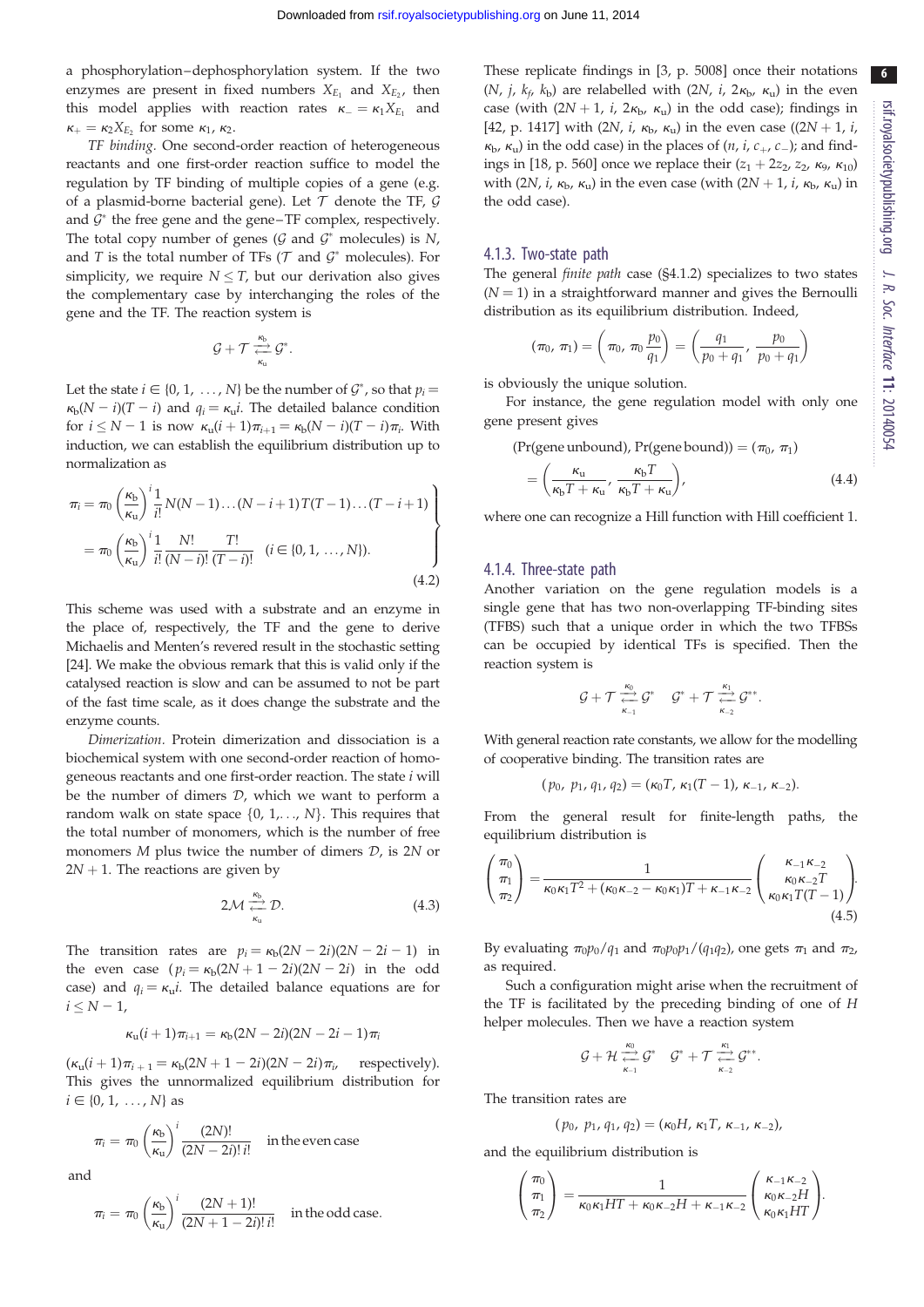a phosphorylation–dephosphorylation system. If the two enzymes are present in fixed numbers  $X_{E_1}$  and  $X_{E_2}$ , then this model applies with reaction rates  $\kappa_- = \kappa_1 X_{E_1}$  and  $\kappa_+ = \kappa_2 X_E$ , for some  $\kappa_1$ ,  $\kappa_2$ .

TF binding. One second-order reaction of heterogeneous reactants and one first-order reaction suffice to model the regulation by TF binding of multiple copies of a gene (e.g. of a plasmid-borne bacterial gene). Let  $T$  denote the TF,  $G$ and  $G^*$  the free gene and the gene-TF complex, respectively. The total copy number of genes ( $\mathcal G$  and  $\mathcal G^*$  molecules) is N, and T is the total number of TFs ( $\mathcal T$  and  $\mathcal G^*$  molecules). For simplicity, we require  $N \leq T$ , but our derivation also gives the complementary case by interchanging the roles of the gene and the TF. The reaction system is

$$
\mathcal{G}+\mathcal{T}\overset{\kappa_b}{\underset{\kappa_u}{\rightleftharpoons}}\mathcal{G}^*.
$$

Let the state  $i \in \{0, 1, ..., N\}$  be the number of  $\mathcal{G}^*$ , so that  $p_i =$  $\kappa_{\rm b}(N - i)(T - i)$  and  $q_i = \kappa_{\rm u}i$ . The detailed balance condition for  $i \le N - 1$  is now  $\kappa_u(i + 1)\pi_{i+1} = \kappa_b(N - i)(T - i)\pi_i$ . With induction, we can establish the equilibrium distribution up to normalization as

$$
\pi_{i} = \pi_{0} \left( \frac{\kappa_{b}}{\kappa_{u}} \right)^{i} \frac{1}{i!} N(N-1) \dots (N-i+1) T(T-1) \dots (T-i+1)
$$
\n
$$
= \pi_{0} \left( \frac{\kappa_{b}}{\kappa_{u}} \right)^{i} \frac{1}{i!} \frac{N!}{(N-i)!} \frac{T!}{(T-i)!} \quad (i \in \{0, 1, ..., N\}).
$$
\n(4.2)

This scheme was used with a substrate and an enzyme in the place of, respectively, the TF and the gene to derive Michaelis and Menten's revered result in the stochastic setting [\[24](#page-12-0)]. We make the obvious remark that this is valid only if the catalysed reaction is slow and can be assumed to not be part of the fast time scale, as it does change the substrate and the enzyme counts.

Dimerization. Protein dimerization and dissociation is a biochemical system with one second-order reaction of homogeneous reactants and one first-order reaction. The state  $i$  will be the number of dimers  $D$ , which we want to perform a random walk on state space  $\{0, 1, \ldots, N\}$ . This requires that the total number of monomers, which is the number of free monomers M plus twice the number of dimers D, is 2N or  $2N + 1$ . The reactions are given by

$$
2\mathcal{M} \xleftarrow[\kappa_0]{\kappa_0} \mathcal{D}.\tag{4.3}
$$

The transition rates are  $p_i = \kappa_b(2N - 2i)(2N - 2i - 1)$  in the even case  $(p_i = \kappa_b(2N + 1 - 2i)(2N - 2i)$  in the odd case) and  $q_i = \kappa_u i$ . The detailed balance equations are for  $i \leq N - 1$ ,

$$
\kappa_{u}(i+1)\pi_{i+1} = \kappa_{b}(2N-2i)(2N-2i-1)\pi_{i}
$$

 $(\kappa_{\rm u}(i + 1)\pi_{i+1} = \kappa_{\rm b}(2N + 1 - 2i)(2N - 2i)\pi_{i}$ , respectively). This gives the unnormalized equilibrium distribution for  $i \in \{ 0, 1, \ldots, N \}$  as

$$
\pi_i = \pi_0 \left(\frac{\kappa_\text{b}}{\kappa_\text{u}}\right)^i \frac{(2N)!}{(2N-2i)!\,i!} \quad \text{ in the even case}
$$

and

$$
\pi_i = \pi_0 \left(\frac{\kappa_b}{\kappa_u}\right)^i \frac{(2N+1)!}{(2N+1-2i)! i!} \quad \text{in the odd case.}
$$

These replicate findings in [[3](#page-11-0), p. 5008] once their notations (N, j,  $k_f$ ,  $k_b$ ) are relabelled with (2N, i,  $2\kappa_b$ ,  $\kappa_u$ ) in the even case (with  $(2N + 1, i, 2\kappa_b, \kappa_u)$  in the odd case); findings in [[42,](#page-12-0) p. 1417] with  $(2N, i, \kappa_b, \kappa_u)$  in the even case  $((2N + 1, i,$  $\kappa_{\rm b}$ ,  $\kappa_{\rm u}$ ) in the odd case) in the places of  $(n, i, c_+, c_-)$ ; and find-ings in [\[18](#page-12-0), p. 560] once we replace their  $(z_1 + 2z_2, z_2, \kappa_9, \kappa_{10})$ with  $(2N, i, \kappa_{\rm b}, \kappa_{\rm u})$  in the even case (with  $(2N + 1, i, \kappa_{\rm b}, \kappa_{\rm u})$  in the odd case).

#### 4.1.3. Two-state path

The general finite path case (§4.1.2) specializes to two states  $(N = 1)$  in a straightforward manner and gives the Bernoulli distribution as its equilibrium distribution. Indeed,

$$
(\pi_0, \pi_1) = \left(\pi_0, \pi_0 \frac{p_0}{q_1}\right) = \left(\frac{q_1}{p_0 + q_1}, \frac{p_0}{p_0 + q_1}\right)
$$

is obviously the unique solution.

For instance, the gene regulation model with only one gene present gives

(Pr(gene unbound), Pr(gene bound)) =  $(\pi_0, \pi_1)$ 

$$
= \left(\frac{\kappa_{\rm u}}{\kappa_{\rm b}T + \kappa_{\rm u}}, \frac{\kappa_{\rm b}T}{\kappa_{\rm b}T + \kappa_{\rm u}}\right), \tag{4.4}
$$

where one can recognize a Hill function with Hill coefficient 1.

#### 4.1.4. Three-state path

Another variation on the gene regulation models is a single gene that has two non-overlapping TF-binding sites (TFBS) such that a unique order in which the two TFBSs can be occupied by identical TFs is specified. Then the reaction system is

$$
\mathcal{G}+\mathcal{T}\overset{\kappa_0}{\underset{\kappa_{-1}}{\longleftrightarrow}}\mathcal{G}^* \quad \mathcal{G}^*+\mathcal{T}\overset{\kappa_1}{\underset{\kappa_{-2}}{\longleftrightarrow}}\mathcal{G}^{**}.
$$

With general reaction rate constants, we allow for the modelling of cooperative binding. The transition rates are

$$
(p_0, p_1, q_1, q_2) = (\kappa_0 T, \kappa_1 (T-1), \kappa_{-1}, \kappa_{-2}).
$$

From the general result for finite-length paths, the equilibrium distribution is

$$
\begin{pmatrix} \pi_0 \\ \pi_1 \\ \pi_2 \end{pmatrix} = \frac{1}{\kappa_0 \kappa_1 T^2 + (\kappa_0 \kappa_{-2} - \kappa_0 \kappa_1) T + \kappa_{-1} \kappa_{-2}} \begin{pmatrix} \kappa_{-1} \kappa_{-2} \\ \kappa_0 \kappa_{-2} T \\ \kappa_0 \kappa_1 T(T - 1) \end{pmatrix} .
$$
\n(4.5)

By evaluating  $\pi_0 p_0/q_1$  and  $\pi_0 p_0p_1/(q_1q_2)$ , one gets  $\pi_1$  and  $\pi_2$ , as required.

Such a configuration might arise when the recruitment of the TF is facilitated by the preceding binding of one of H helper molecules. Then we have a reaction system

$$
\mathcal{G} + \mathcal{H} \overset{\kappa_0}{\underset{\kappa_{-1}}{\rightleftharpoons}} \mathcal{G}^* \quad \mathcal{G}^* + \mathcal{T} \overset{\kappa_1}{\underset{\kappa_{-2}}{\rightleftharpoons}} \mathcal{G}^{**}.
$$

The transition rates are

$$
(p_0, p_1, q_1, q_2) = (\kappa_0 H, \kappa_1 T, \kappa_{-1}, \kappa_{-2}),
$$

and the equilibrium distribution is

$$
\begin{pmatrix} \pi_0 \\ \pi_1 \\ \pi_2 \end{pmatrix} = \frac{1}{\kappa_0 \kappa_1 HT + \kappa_0 \kappa_{-2} H + \kappa_{-1} \kappa_{-2}} \begin{pmatrix} \kappa_{-1} \kappa_{-2} \\ \kappa_0 \kappa_{-2} H \\ \kappa_0 \kappa_1 HT \end{pmatrix}.
$$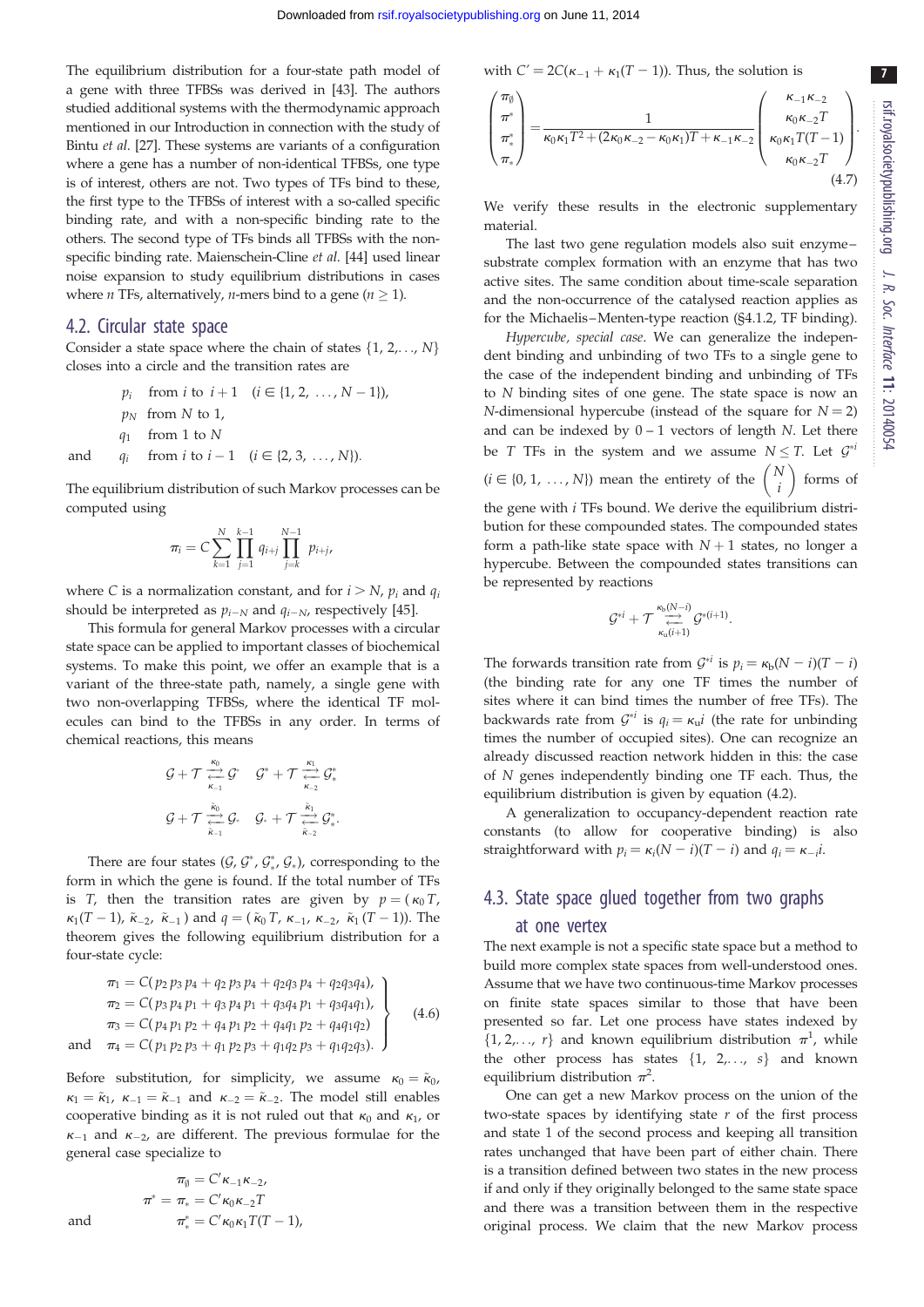The equilibrium distribution for a four-state path model of a gene with three TFBSs was derived in [[43\]](#page-12-0). The authors studied additional systems with the thermodynamic approach mentioned in our Introduction in connection with the study of Bintu et al. [[27\]](#page-12-0). These systems are variants of a configuration where a gene has a number of non-identical TFBSs, one type is of interest, others are not. Two types of TFs bind to these, the first type to the TFBSs of interest with a so-called specific binding rate, and with a non-specific binding rate to the others. The second type of TFs binds all TFBSs with the nonspecific binding rate. Maienschein-Cline et al. [\[44](#page-12-0)] used linear noise expansion to study equilibrium distributions in cases where *n* TFs, alternatively, *n*-mers bind to a gene ( $n \ge 1$ ).

#### 4.2. Circular state space

Consider a state space where the chain of states  $\{1, 2, \ldots, N\}$ closes into a circle and the transition rates are

- $p_i$  from *i* to  $i + 1$   $(i \in \{1, 2, ..., N 1\}),$  $p_N$  from N to 1,  $q_1$  from 1 to N
- and  $q_i$  from i to  $i 1$   $(i \in \{2, 3, ..., N\})$ .

The equilibrium distribution of such Markov processes can be computed using

$$
\pi_i = C \sum_{k=1}^N \prod_{j=1}^{k-1} q_{i+j} \prod_{j=k}^{N-1} p_{i+j},
$$

where C is a normalization constant, and for  $i > N$ ,  $p_i$  and  $q_i$ should be interpreted as  $p_{i-N}$  and  $q_{i-N}$ , respectively [[45\]](#page-12-0).

This formula for general Markov processes with a circular state space can be applied to important classes of biochemical systems. To make this point, we offer an example that is a variant of the three-state path, namely, a single gene with two non-overlapping TFBSs, where the identical TF molecules can bind to the TFBSs in any order. In terms of chemical reactions, this means

<sup>G</sup> <sup>þ</sup> <sup>T</sup> ! <sup>k</sup>0 <sup>k</sup>1 <sup>G</sup> <sup>G</sup> <sup>þ</sup> <sup>T</sup> ! <sup>k</sup>1 <sup>k</sup>2 G <sup>G</sup> <sup>þ</sup> <sup>T</sup> ! k~0 <sup>k</sup>~<sup>1</sup> <sup>G</sup> <sup>G</sup> <sup>þ</sup> <sup>T</sup> ! k~1 <sup>k</sup>~<sup>2</sup> G :

There are four states  $(G, G^*, G^*, G_*)$ , corresponding to the form in which the gene is found. If the total number of TFs is *T*, then the transition rates are given by  $p = (\kappa_0 T,$  $\kappa_1(T-1)$ ,  $\tilde{\kappa}_{-2}$ ,  $\tilde{\kappa}_{-1}$  and  $q = (\tilde{\kappa}_0 T, \kappa_{-1}, \kappa_{-2}, \tilde{\kappa}_1 (T-1))$ . The theorem gives the following equilibrium distribution for a four-state cycle:

$$
\pi_1 = C(p_2 p_3 p_4 + q_2 p_3 p_4 + q_2 q_3 p_4 + q_2 q_3 q_4),
$$
\n
$$
\pi_2 = C(p_3 p_4 p_1 + q_3 p_4 p_1 + q_3 q_4 p_1 + q_3 q_4 q_1),
$$
\n
$$
\pi_3 = C(p_4 p_1 p_2 + q_4 p_1 p_2 + q_4 q_1 p_2 + q_4 q_1 q_2),
$$
\nand\n
$$
\pi_4 = C(p_1 p_2 p_3 + q_1 p_2 p_3 + q_1 q_2 p_3 + q_1 q_2 q_3).
$$
\n(4.6)

Before substitution, for simplicity, we assume  $\kappa_0 = \tilde{\kappa}_0$ ,  $\kappa_1 = \tilde{\kappa}_1$ ,  $\kappa_{-1} = \tilde{\kappa}_{-1}$  and  $\kappa_{-2} = \tilde{\kappa}_{-2}$ . The model still enables cooperative binding as it is not ruled out that  $\kappa_0$  and  $\kappa_1$ , or  $\kappa_{-1}$  and  $\kappa_{-2}$ , are different. The previous formulae for the general case specialize to

$$
\pi_{\emptyset} = C' \kappa_{-1} \kappa_{-2}, \\ \pi^* = \pi_* = C' \kappa_0 \kappa_{-2} T \\ \pi^*_* = C' \kappa_0 \kappa_1 T(T-1),
$$

with 
$$
C' = 2C(\kappa_{-1} + \kappa_1(T - 1))
$$
. Thus, the solution is

 $\pi_{\emptyset}$  $\pi^*$  $\pi^*$ \*  $\pi_*$  $\overline{\phantom{a}}$  $\vert$  $\sqrt{2}$  $=\frac{1}{\kappa_0\kappa_1T^2+(2\kappa_0\kappa_{-2}-\kappa_0\kappa_1)T+\kappa_{-1}\kappa_{-2}}$  $\kappa_{-1}\kappa_{-2}$  $\kappa_0\kappa_{-2}T$  $\kappa_0\kappa_1T(T-1)$  $\kappa_0\kappa_{-2}T$  $\overline{\phantom{a}}$  $\vert$  $\sqrt{2}$  $\cdot$ (4:7)

We verify these results in the electronic supplementary material.

The last two gene regulation models also suit enzyme– substrate complex formation with an enzyme that has two active sites. The same condition about time-scale separation and the non-occurrence of the catalysed reaction applies as for the Michaelis–Menten-type reaction (§4.1.2, TF binding).

Hypercube, special case. We can generalize the independent binding and unbinding of two TFs to a single gene to the case of the independent binding and unbinding of TFs to N binding sites of one gene. The state space is now an N-dimensional hypercube (instead of the square for  $N = 2$ ) and can be indexed by  $0 - 1$  vectors of length N. Let there be T TFs in the system and we assume  $N \leq T$ . Let  $\mathcal{G}^{*i}$  $(i \in \{0, 1, ..., N\})$  mean the entirety of the  $\begin{pmatrix} N \\ i \end{pmatrix}$  $\sqrt{N}$ forms of the gene with i TFs bound. We derive the equilibrium distri-

bution for these compounded states. The compounded states form a path-like state space with  $N+1$  states, no longer a hypercube. Between the compounded states transitions can be represented by reactions

$$
\mathcal{G}^{*i} + \mathcal{T} \overset{\kappa_b(N-i)}{\underset{\kappa_u(i+1)}{\rightleftharpoons}} \mathcal{G}^{*(i+1)}.
$$

The forwards transition rate from  $\mathcal{G}^{*i}$  is  $p_i = \kappa_b(N - i)(T - i)$ (the binding rate for any one TF times the number of sites where it can bind times the number of free TFs). The backwards rate from  $\mathcal{G}^{*i}$  is  $q_i = \kappa_{\mathrm{u}} i$  (the rate for unbinding times the number of occupied sites). One can recognize an already discussed reaction network hidden in this: the case of N genes independently binding one TF each. Thus, the equilibrium distribution is given by equation (4.2).

A generalization to occupancy-dependent reaction rate constants (to allow for cooperative binding) is also straightforward with  $p_i = \kappa_i(N - i)(T - i)$  and  $q_i = \kappa_{-i}i$ .

# 4.3. State space glued together from two graphs at one vertex

The next example is not a specific state space but a method to build more complex state spaces from well-understood ones. Assume that we have two continuous-time Markov processes on finite state spaces similar to those that have been presented so far. Let one process have states indexed by  $\{1, 2, \ldots, r\}$  and known equilibrium distribution  $\pi^1$ , while the other process has states  $\{1, 2, \ldots, s\}$  and known equilibrium distribution  $\pi^2$ .

One can get a new Markov process on the union of the two-state spaces by identifying state  $r$  of the first process and state 1 of the second process and keeping all transition rates unchanged that have been part of either chain. There is a transition defined between two states in the new process if and only if they originally belonged to the same state space and there was a transition between them in the respective original process. We claim that the new Markov process

and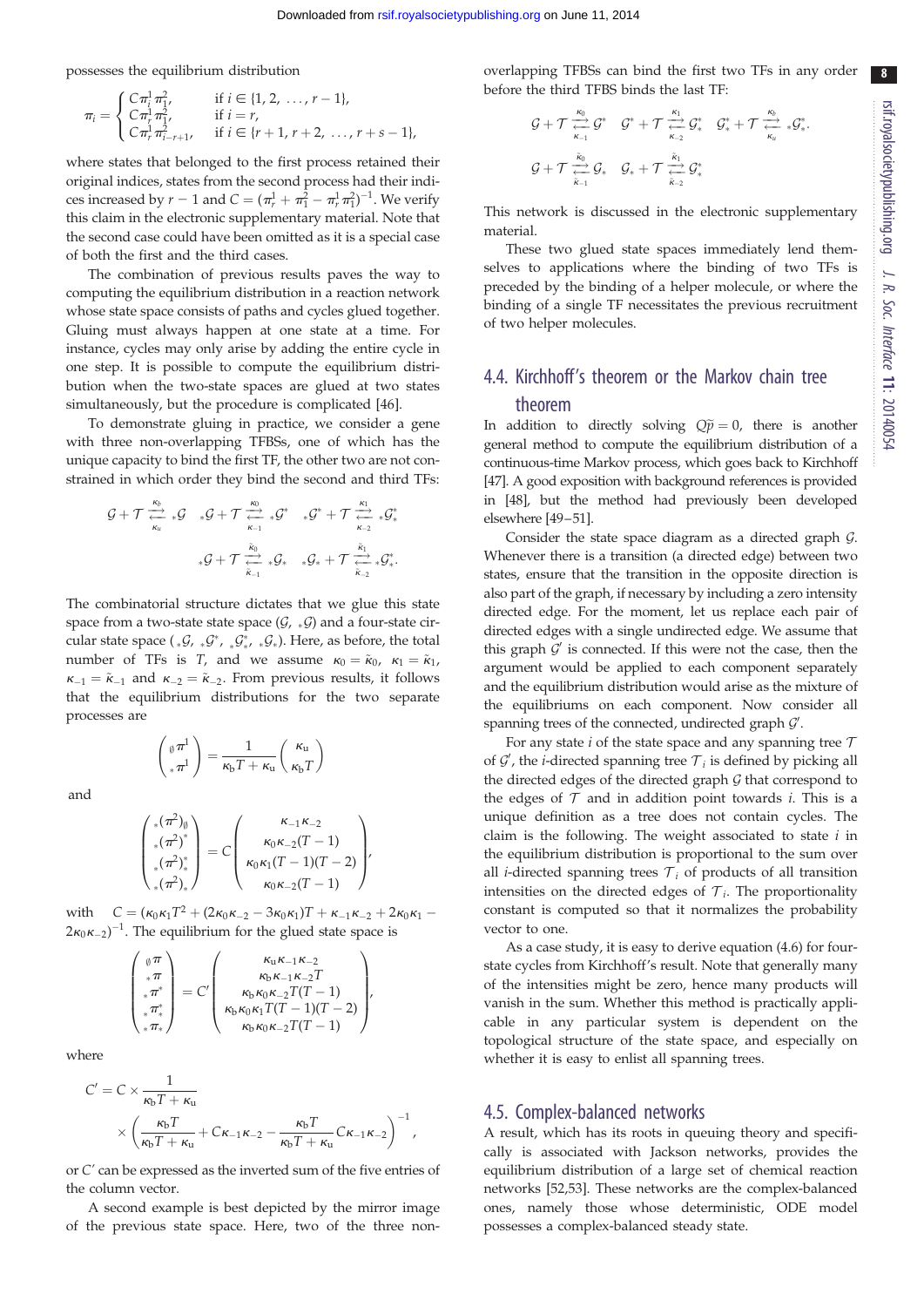possesses the equilibrium distribution

$$
\pi_i = \begin{cases}\nC\pi_i^1 \pi_1^2, & \text{if } i \in \{1, 2, ..., r-1\}, \\
C\pi_r^1 \pi_1^2, & \text{if } i = r, \\
C\pi_r^1 \pi_{i-r+1}^2, & \text{if } i \in \{r+1, r+2, ..., r+s-1\},\n\end{cases}
$$

where states that belonged to the first process retained their original indices, states from the second process had their indices increased by  $r - 1$  and  $C = (\pi_r^1 + \pi_1^2 - \pi_r^1 \pi_1^2)^{-1}$ . We verify this claim in the electronic supplementary material. Note that the second case could have been omitted as it is a special case of both the first and the third cases.

The combination of previous results paves the way to computing the equilibrium distribution in a reaction network whose state space consists of paths and cycles glued together. Gluing must always happen at one state at a time. For instance, cycles may only arise by adding the entire cycle in one step. It is possible to compute the equilibrium distribution when the two-state spaces are glued at two states simultaneously, but the procedure is complicated [\[46](#page-12-0)].

To demonstrate gluing in practice, we consider a gene with three non-overlapping TFBSs, one of which has the unique capacity to bind the first TF, the other two are not constrained in which order they bind the second and third TFs:

$$
\begin{array}{ccccc}\mathcal{G}+\mathcal{T}\overset{\kappa_{b}}{\underset{\kappa_{u}}{\longleftrightarrow}}\ _{\ast}\mathcal{G} & _{\ast}\mathcal{G}+\mathcal{T}\overset{\kappa_{0}}{\underset{\kappa_{-1}}{\longleftrightarrow}}\ _{\ast}\mathcal{G}^{*} & _{\ast}\mathcal{G}^{*}+\mathcal{T}\overset{\kappa_{1}}{\underset{\kappa_{-2}}{\longleftrightarrow}}\ _{\ast}\mathcal{G}^{*}_{\ast} \\ & _{\ast}\mathcal{G}+\mathcal{T}\overset{\bar{\kappa}_{0}}{\underset{\bar{\kappa}_{-1}}{\longleftrightarrow}}\ _{\ast}\mathcal{G}_{\ast} & _{\ast}\mathcal{G}_{\ast}+\mathcal{T}\overset{\bar{\kappa}_{1}}{\underset{\bar{\kappa}_{-2}}{\longleftrightarrow}}\ _{\ast}\mathcal{G}^{*}_{\ast}.\end{array}
$$

The combinatorial structure dictates that we glue this state space from a two-state state space  $(\mathcal{G}, \mathcal{G})$  and a four-state circular state space  $({}_{*}\mathcal{G}, {}_{*}\mathcal{G}^*, {}_{*}\mathcal{G}^*, {}_{*}\mathcal{G}_*$ ). Here, as before, the total number of TFs is T, and we assume  $\kappa_0 = \tilde{\kappa}_0$ ,  $\kappa_1 = \tilde{\kappa}_1$ ,  $\kappa_{-1} = \tilde{\kappa}_{-1}$  and  $\kappa_{-2} = \tilde{\kappa}_{-2}$ . From previous results, it follows that the equilibrium distributions for the two separate processes are

> $_{\emptyset}\,\pi^1$  $_{*}\pi^{1}$

 $\begin{pmatrix} \sqrt[\eta]{\pi^1} \\ \sqrt[\eta]{\pi^1} \end{pmatrix} = \frac{1}{\kappa_b T + \kappa_u}$ 

and

$$
\begin{pmatrix} *(\pi^2)_{\emptyset} \\ *(\pi^2)^* \\ *(\pi^2)^* \\ *(\pi^2)_* \end{pmatrix} = C \begin{pmatrix} \kappa_{-1}\kappa_{-2} \\ \kappa_0\kappa_{-2}(T-1) \\ \kappa_0\kappa_1(T-1)(T-2) \\ \kappa_0\kappa_{-2}(T-1) \end{pmatrix},
$$

 $\kappa_{\rm u}$  $\kappa_{\rm b}T$  $\sqrt{\kappa}$ 

with  $C = (\kappa_0 \kappa_1 T^2 + (2\kappa_0 \kappa_{-2} - 3\kappa_0 \kappa_1)T + \kappa_{-1} \kappa_{-2} + 2\kappa_0 \kappa_1 (2\kappa_0\kappa_{-2})^{-1}$ . The equilibrium for the glued state space is

$$
\begin{pmatrix}\n0 \pi \\
\ast \pi \\
\ast \pi^* \\
\ast \pi^* \\
\ast \pi^*\n\end{pmatrix} = C' \begin{pmatrix}\n\kappa_u \kappa_{-1} \kappa_{-2} \\
\kappa_b \kappa_{-1} \kappa_{-2} T \\
\kappa_b \kappa_0 \kappa_{-2} T (T - 1) \\
\kappa_b \kappa_0 \kappa_1 T (T - 1) (T - 2) \\
\kappa_b \kappa_0 \kappa_{-2} T (T - 1)\n\end{pmatrix},
$$

where

$$
C' = C \times \frac{1}{\kappa_b T + \kappa_u}
$$

$$
\times \left(\frac{\kappa_b T}{\kappa_b T + \kappa_u} + C\kappa_{-1}\kappa_{-2} - \frac{\kappa_b T}{\kappa_b T + \kappa_u}C\kappa_{-1}\kappa_{-2}\right)^{-1},
$$

or C' can be expressed as the inverted sum of the five entries of the column vector.

A second example is best depicted by the mirror image of the previous state space. Here, two of the three nonoverlapping TFBSs can bind the first two TFs in any order before the third TFBS binds the last TF:

$$
\begin{array}{ll}\mathcal{G}+\mathcal{T}\overset{\kappa_{0}}{\underset{\kappa_{-1}}{\rightleftharpoons}}\mathcal{G}^{*} & \mathcal{G}^{*}+\mathcal{T}\overset{\kappa_{1}}{\underset{\kappa_{-2}}{\rightleftharpoons}}\mathcal{G}^{*}_{*} & \mathcal{G}^{*}_{*}+\mathcal{T}\overset{\kappa_{0}}{\underset{\kappa_{u}}{\rightleftharpoons}}\mathcal{G}^{*}_{*}.\end{array}
$$
\n
$$
\mathcal{G}+\mathcal{T}\overset{\bar{\kappa}_{0}}{\underset{\kappa_{-1}}{\rightleftharpoons}}\mathcal{G}_{*} & \mathcal{G}_{*}+\mathcal{T}\overset{\bar{\kappa}_{1}}{\underset{\kappa_{-2}}{\rightleftharpoons}}\mathcal{G}^{*}_{*}
$$

This network is discussed in the electronic supplementary material.

These two glued state spaces immediately lend themselves to applications where the binding of two TFs is preceded by the binding of a helper molecule, or where the binding of a single TF necessitates the previous recruitment of two helper molecules.

## 4.4. Kirchhoff's theorem or the Markov chain tree theorem

In addition to directly solving  $Q\tilde{p} = 0$ , there is another general method to compute the equilibrium distribution of a continuous-time Markov process, which goes back to Kirchhoff [[47](#page-12-0)]. A good exposition with background references is provided in [\[48\]](#page-12-0), but the method had previously been developed elsewhere [\[49](#page-12-0)–[51\]](#page-13-0).

Consider the state space diagram as a directed graph G. Whenever there is a transition (a directed edge) between two states, ensure that the transition in the opposite direction is also part of the graph, if necessary by including a zero intensity directed edge. For the moment, let us replace each pair of directed edges with a single undirected edge. We assume that this graph  $\mathcal{G}'$  is connected. If this were not the case, then the argument would be applied to each component separately and the equilibrium distribution would arise as the mixture of the equilibriums on each component. Now consider all spanning trees of the connected, undirected graph  $\mathcal{G}'$ .

For any state *i* of the state space and any spanning tree  $T$ of  $\mathcal{G}'$ , the *i*-directed spanning tree  $\mathcal{T}_i$  is defined by picking all the directed edges of the directed graph  $G$  that correspond to the edges of  $T$  and in addition point towards *i*. This is a unique definition as a tree does not contain cycles. The claim is the following. The weight associated to state  $i$  in the equilibrium distribution is proportional to the sum over all *i*-directed spanning trees  $\mathcal{T}_i$  of products of all transition intensities on the directed edges of  $\mathcal{T}_i$ . The proportionality constant is computed so that it normalizes the probability vector to one.

As a case study, it is easy to derive equation (4.6) for fourstate cycles from Kirchhoff's result. Note that generally many of the intensities might be zero, hence many products will vanish in the sum. Whether this method is practically applicable in any particular system is dependent on the topological structure of the state space, and especially on whether it is easy to enlist all spanning trees.

#### 4.5. Complex-balanced networks

A result, which has its roots in queuing theory and specifically is associated with Jackson networks, provides the equilibrium distribution of a large set of chemical reaction networks [[52,53](#page-13-0)]. These networks are the complex-balanced ones, namely those whose deterministic, ODE model possesses a complex-balanced steady state.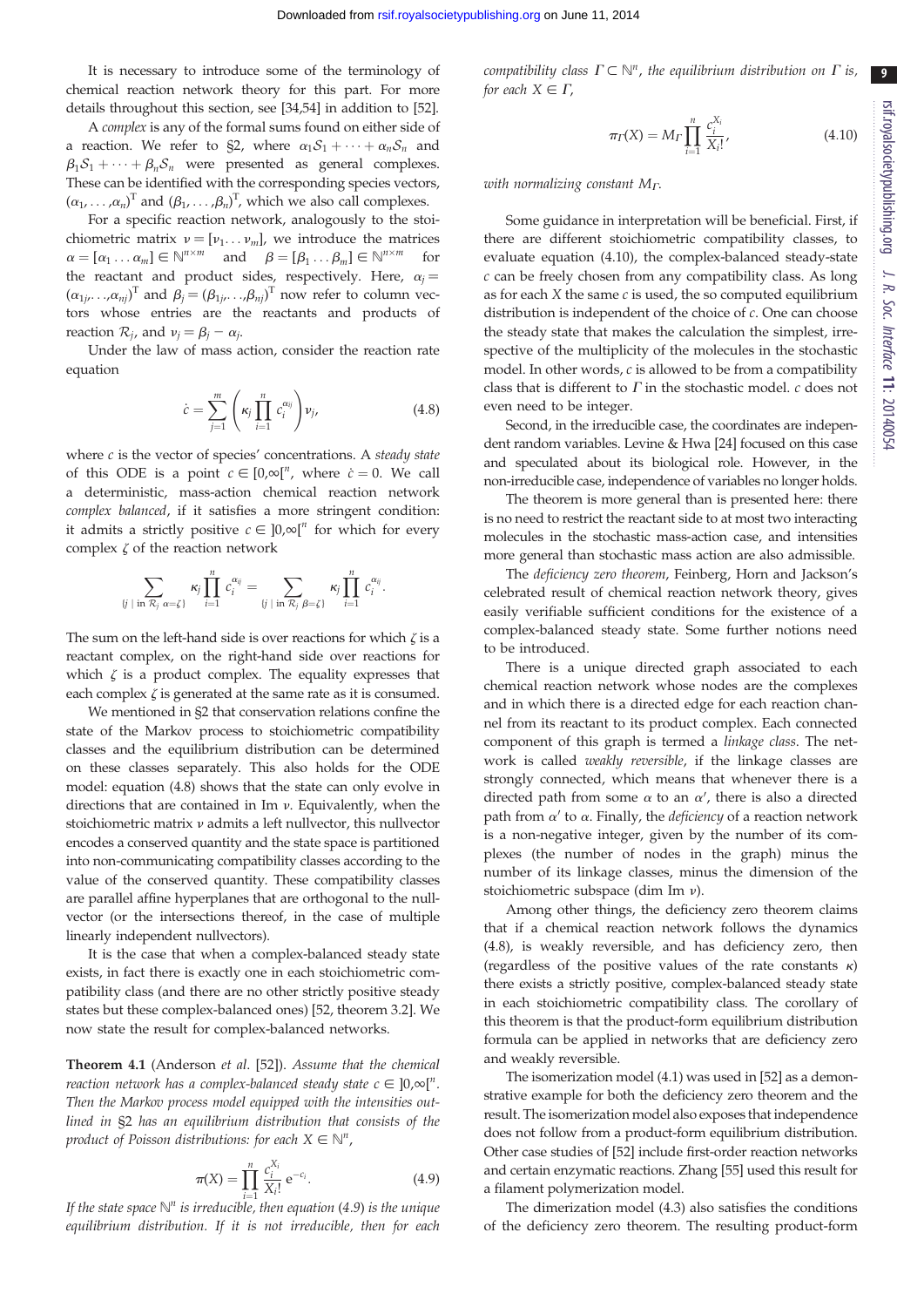It is necessary to introduce some of the terminology of chemical reaction network theory for this part. For more details throughout this section, see [\[34](#page-12-0)[,54\]](#page-13-0) in addition to [\[52\]](#page-13-0).

A complex is any of the formal sums found on either side of a reaction. We refer to §2, where  $\alpha_1 S_1 + \cdots + \alpha_n S_n$  and  $\beta_1\mathcal{S}_1+\cdots+\beta_n\mathcal{S}_n$  were presented as general complexes. These can be identified with the corresponding species vectors,  $(\alpha_1, \ldots, \alpha_n)^T$  and  $(\beta_1, \ldots, \beta_n)^T$ , which we also call complexes.

For a specific reaction network, analogously to the stoichiometric matrix  $v = [v_1 \dots v_m]$ , we introduce the matrices  $\alpha = [\alpha_1 \dots \alpha_m] \in \mathbb{N}^{n \times m}$  and  $\beta = [\beta_1 \dots \beta_m] \in \mathbb{N}^{n \times m}$  for the reactant and product sides, respectively. Here,  $\alpha_j =$  $(\alpha_{1j},...,\alpha_{nj})^{\text{T}}$  and  $\beta_j = (\beta_{1j},...,\beta_{nj})^{\text{T}}$  now refer to column vectors whose entries are the reactants and products of reaction  $\mathcal{R}_i$ , and  $v_i = \beta_i - \alpha_i$ .

Under the law of mass action, consider the reaction rate equation

$$
\dot{c} = \sum_{j=1}^{m} \left( \kappa_j \prod_{i=1}^{n} c_i^{\alpha_{ij}} \right) \nu_j,
$$
\n(4.8)

where  $c$  is the vector of species' concentrations. A steady state of this ODE is a point  $c \in [0,\infty[^n]$ , where  $\dot{c} = 0$ . We call a deterministic, mass-action chemical reaction network complex balanced, if it satisfies a more stringent condition: it admits a strictly positive  $c \in ]0,\infty[^n$  for which for every complex  $\zeta$  of the reaction network

$$
\sum_{\{j \ | \ \text{in } \mathcal{R}_j \ \alpha = \zeta\}} \ \kappa_j \prod_{i=1}^n \ c_i^{\alpha_{ij}} = \sum_{\{j \ | \ \text{in } \mathcal{R}_j \ \beta = \zeta\}} \ \kappa_j \prod_{i=1}^n \ c_i^{\alpha_{ij}}.
$$

The sum on the left-hand side is over reactions for which  $\zeta$  is a reactant complex, on the right-hand side over reactions for which  $\zeta$  is a product complex. The equality expresses that each complex  $\zeta$  is generated at the same rate as it is consumed.

We mentioned in §2 that conservation relations confine the state of the Markov process to stoichiometric compatibility classes and the equilibrium distribution can be determined on these classes separately. This also holds for the ODE model: equation (4.8) shows that the state can only evolve in directions that are contained in  $\text{Im } v$ . Equivalently, when the stoichiometric matrix  $\nu$  admits a left nullvector, this nullvector encodes a conserved quantity and the state space is partitioned into non-communicating compatibility classes according to the value of the conserved quantity. These compatibility classes are parallel affine hyperplanes that are orthogonal to the nullvector (or the intersections thereof, in the case of multiple linearly independent nullvectors).

It is the case that when a complex-balanced steady state exists, in fact there is exactly one in each stoichiometric compatibility class (and there are no other strictly positive steady states but these complex-balanced ones) [[52,](#page-13-0) theorem 3.2]. We now state the result for complex-balanced networks.

Theorem 4.1 (Anderson et al. [[52\]](#page-13-0)). Assume that the chemical reaction network has a complex-balanced steady state  $c \in ]0,\infty[^n]$ . Then the Markov process model equipped with the intensities outlined in §2 has an equilibrium distribution that consists of the product of Poisson distributions: for each  $X \in \mathbb{N}^n$ ,

$$
\pi(X) = \prod_{i=1}^{n} \frac{c_i^{X_i}}{X_i!} e^{-c_i}.
$$
 (4.9)

If the state space  $\mathbb{N}^n$  is irreducible, then equation (4.9) is the unique equilibrium distribution. If it is not irreducible, then for each compatibility class  $\Gamma \subset \mathbb{N}^n$ , the equilibrium distribution on  $\Gamma$  is, for each  $X \in \Gamma$ ,

 $\pi_{\Gamma}(X) = M_{\Gamma} \prod_{r=1}^{n}$  $i=1$  $\frac{c_i^{X_i}}{X_i!}$  $(4.10)$ 

#### with normalizing constant  $M_{\Gamma}$ .

Some guidance in interpretation will be beneficial. First, if there are different stoichiometric compatibility classes, to evaluate equation (4.10), the complex-balanced steady-state c can be freely chosen from any compatibility class. As long as for each  $X$  the same  $c$  is used, the so computed equilibrium distribution is independent of the choice of c. One can choose the steady state that makes the calculation the simplest, irrespective of the multiplicity of the molecules in the stochastic model. In other words, c is allowed to be from a compatibility class that is different to  $\Gamma$  in the stochastic model.  $c$  does not even need to be integer.

Second, in the irreducible case, the coordinates are independent random variables. Levine & Hwa [\[24\]](#page-12-0) focused on this case and speculated about its biological role. However, in the non-irreducible case, independence of variables no longer holds.

The theorem is more general than is presented here: there is no need to restrict the reactant side to at most two interacting molecules in the stochastic mass-action case, and intensities more general than stochastic mass action are also admissible.

The deficiency zero theorem, Feinberg, Horn and Jackson's celebrated result of chemical reaction network theory, gives easily verifiable sufficient conditions for the existence of a complex-balanced steady state. Some further notions need to be introduced.

There is a unique directed graph associated to each chemical reaction network whose nodes are the complexes and in which there is a directed edge for each reaction channel from its reactant to its product complex. Each connected component of this graph is termed a linkage class. The network is called weakly reversible, if the linkage classes are strongly connected, which means that whenever there is a directed path from some  $\alpha$  to an  $\alpha'$ , there is also a directed path from  $\alpha'$  to  $\alpha$ . Finally, the *deficiency* of a reaction network is a non-negative integer, given by the number of its complexes (the number of nodes in the graph) minus the number of its linkage classes, minus the dimension of the stoichiometric subspace (dim Im  $\nu$ ).

Among other things, the deficiency zero theorem claims that if a chemical reaction network follows the dynamics (4.8), is weakly reversible, and has deficiency zero, then (regardless of the positive values of the rate constants  $\kappa$ ) there exists a strictly positive, complex-balanced steady state in each stoichiometric compatibility class. The corollary of this theorem is that the product-form equilibrium distribution formula can be applied in networks that are deficiency zero and weakly reversible.

The isomerization model (4.1) was used in [\[52](#page-13-0)] as a demonstrative example for both the deficiency zero theorem and the result. The isomerization model also exposes that independence does not follow from a product-form equilibrium distribution. Other case studies of [\[52](#page-13-0)] include first-order reaction networks and certain enzymatic reactions. Zhang [[55](#page-13-0)] used this result for a filament polymerization model.

The dimerization model (4.3) also satisfies the conditions of the deficiency zero theorem. The resulting product-form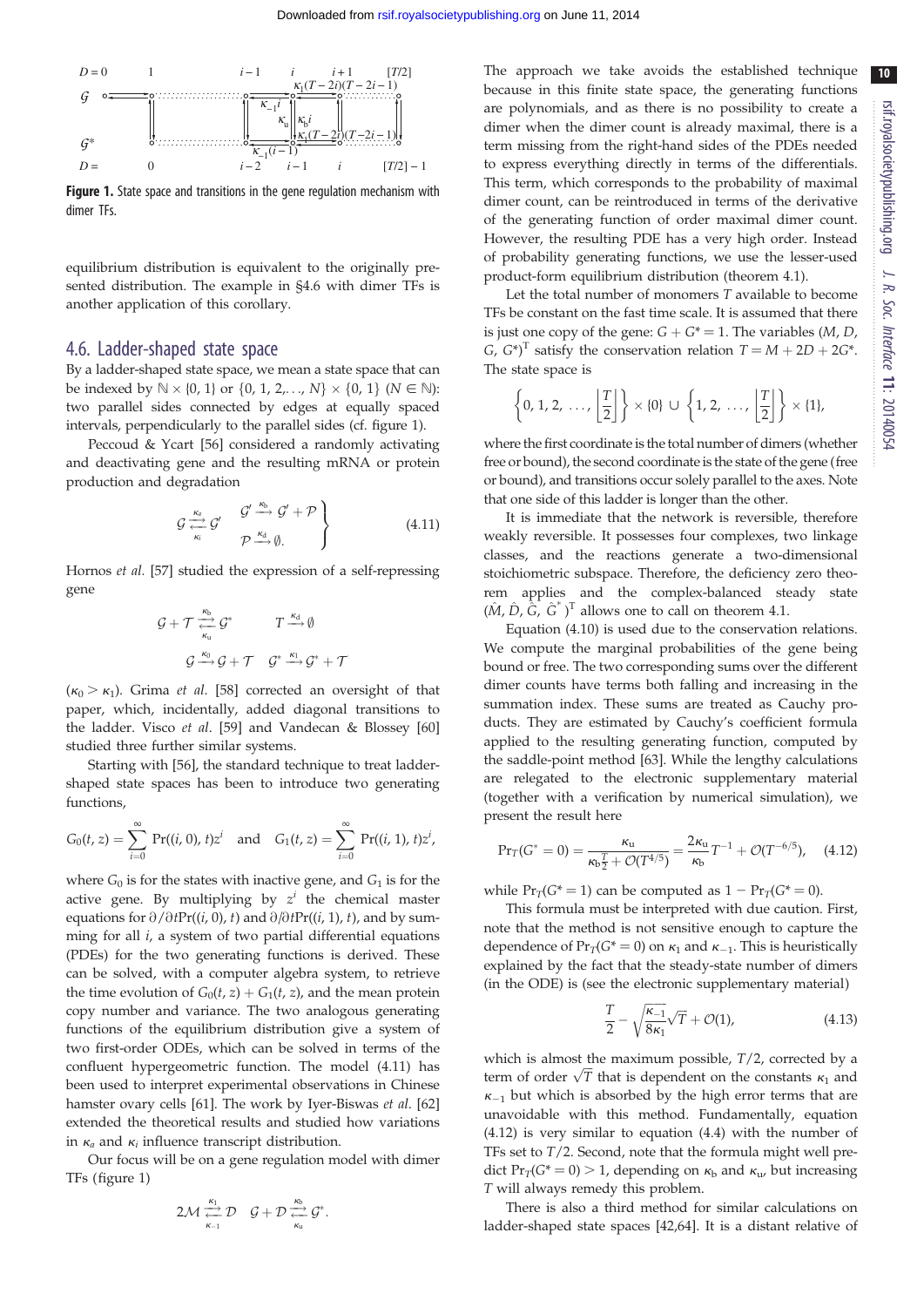

Figure 1. State space and transitions in the gene regulation mechanism with dimer TFs.

equilibrium distribution is equivalent to the originally presented distribution. The example in §4.6 with dimer TFs is another application of this corollary.

#### 4.6. Ladder-shaped state space

By a ladder-shaped state space, we mean a state space that can be indexed by  $\mathbb{N} \times \{0, 1\}$  or  $\{0, 1, 2, ..., N\} \times \{0, 1\}$  ( $N \in \mathbb{N}$ ): two parallel sides connected by edges at equally spaced intervals, perpendicularly to the parallel sides (cf. figure 1).

Peccoud & Ycart [\[56](#page-13-0)] considered a randomly activating and deactivating gene and the resulting mRNA or protein production and degradation

$$
\mathcal{G} \xleftarrow[\kappa_0]{\kappa_0} \mathcal{G}' \qquad \mathcal{G}' \xrightarrow{\kappa_0} \mathcal{G}' + \mathcal{P}
$$
\n
$$
\mathcal{P} \xrightarrow[\kappa_1]{\kappa_1} \emptyset.
$$
\n(4.11)

Hornos et al. [[57\]](#page-13-0) studied the expression of a self-repressing gene

$$
G + \mathcal{T} \xleftrightarrow{\kappa_0 \atop \kappa_1} G^* \qquad T \xrightarrow{\kappa_d} \emptyset
$$
  

$$
G \xrightarrow{\kappa_0} G + \mathcal{T} \qquad G^* \xrightarrow{\kappa_1} G^* + \mathcal{T}
$$

 $(\kappa_0 > \kappa_1)$ . Grima *et al.* [[58\]](#page-13-0) corrected an oversight of that paper, which, incidentally, added diagonal transitions to the ladder. Visco et al. [\[59](#page-13-0)] and Vandecan & Blossey [[60\]](#page-13-0) studied three further similar systems.

Starting with [\[56](#page-13-0)], the standard technique to treat laddershaped state spaces has been to introduce two generating functions,

$$
G_0(t, z) = \sum_{i=0}^{\infty} \Pr((i, 0), t) z^i \text{ and } G_1(t, z) = \sum_{i=0}^{\infty} \Pr((i, 1), t) z^i,
$$

where  $G_0$  is for the states with inactive gene, and  $G_1$  is for the active gene. By multiplying by  $z^i$  the chemical master equations for  $\partial/\partial tPr((i, 0), t)$  and  $\partial/\partial tPr((i, 1), t)$ , and by summing for all  $i$ , a system of two partial differential equations (PDEs) for the two generating functions is derived. These can be solved, with a computer algebra system, to retrieve the time evolution of  $G_0(t, z) + G_1(t, z)$ , and the mean protein copy number and variance. The two analogous generating functions of the equilibrium distribution give a system of two first-order ODEs, which can be solved in terms of the confluent hypergeometric function. The model (4.11) has been used to interpret experimental observations in Chinese hamster ovary cells [\[61](#page-13-0)]. The work by Iyer-Biswas et al. [[62\]](#page-13-0) extended the theoretical results and studied how variations in  $\kappa_a$  and  $\kappa_i$  influence transcript distribution.

Our focus will be on a gene regulation model with dimer TFs (figure 1)

$$
2\mathcal{M} \overset{\kappa_1}{\underset{\kappa_{-1}}{\longleftrightarrow}} \mathcal{D} \quad \mathcal{G} + \mathcal{D} \overset{\kappa_b}{\underset{\kappa_u}{\longleftrightarrow}} \mathcal{G}^*.
$$

The approach we take avoids the established technique because in this finite state space, the generating functions are polynomials, and as there is no possibility to create a dimer when the dimer count is already maximal, there is a term missing from the right-hand sides of the PDEs needed to express everything directly in terms of the differentials. This term, which corresponds to the probability of maximal dimer count, can be reintroduced in terms of the derivative of the generating function of order maximal dimer count. However, the resulting PDE has a very high order. Instead of probability generating functions, we use the lesser-used product-form equilibrium distribution (theorem 4.1).

Let the total number of monomers T available to become TFs be constant on the fast time scale. It is assumed that there is just one copy of the gene:  $G + G^* = 1$ . The variables (*M*, *D*,  $G, G^*$ <sup>T</sup> satisfy the conservation relation  $T = M + 2D + 2G^*$ . The state space is

$$
\left\{0, 1, 2, \ldots, \left\lfloor \frac{T}{2} \right\rfloor\right\} \times \{0\} \cup \left\{1, 2, \ldots, \left\lfloor \frac{T}{2} \right\rfloor\right\} \times \{1\},\
$$

where the first coordinate is the total number of dimers (whether free or bound), the second coordinate is the state of the gene (free or bound), and transitions occur solely parallel to the axes. Note that one side of this ladder is longer than the other.

It is immediate that the network is reversible, therefore weakly reversible. It possesses four complexes, two linkage classes, and the reactions generate a two-dimensional stoichiometric subspace. Therefore, the deficiency zero theorem applies and the complex-balanced steady state  $(\hat{M}, \hat{D}, \hat{\hat{G}}^*, \hat{G}^*)^T$  allows one to call on theorem 4.1.

Equation (4.10) is used due to the conservation relations. We compute the marginal probabilities of the gene being bound or free. The two corresponding sums over the different dimer counts have terms both falling and increasing in the summation index. These sums are treated as Cauchy products. They are estimated by Cauchy's coefficient formula applied to the resulting generating function, computed by the saddle-point method [\[63](#page-13-0)]. While the lengthy calculations are relegated to the electronic supplementary material (together with a verification by numerical simulation), we present the result here

$$
\Pr_T(G^* = 0) = \frac{\kappa_{\rm u}}{\kappa_{\rm b} \frac{T}{2} + \mathcal{O}(T^{4/5})} = \frac{2\kappa_{\rm u}}{\kappa_{\rm b}} T^{-1} + \mathcal{O}(T^{-6/5}), \quad (4.12)
$$

while  $Pr_T(G^* = 1)$  can be computed as  $1 - Pr_T(G^* = 0)$ .

This formula must be interpreted with due caution. First, note that the method is not sensitive enough to capture the dependence of  $Pr_T(G^* = 0)$  on  $\kappa_1$  and  $\kappa_{-1}$ . This is heuristically explained by the fact that the steady-state number of dimers (in the ODE) is (see the electronic supplementary material)

$$
\frac{T}{2} - \sqrt{\frac{\kappa_{-1}}{8\kappa_1}}\sqrt{T} + \mathcal{O}(1),\tag{4.13}
$$

which is almost the maximum possible,  $T/2$ , corrected by a which is almost the maximum possible,  $1/2$ , corrected by a<br>term of order  $\sqrt{T}$  that is dependent on the constants  $\kappa_1$  and  $\kappa_{-1}$  but which is absorbed by the high error terms that are unavoidable with this method. Fundamentally, equation (4.12) is very similar to equation (4.4) with the number of TFs set to T/2. Second, note that the formula might well predict  $Pr_T(G^* = 0) > 1$ , depending on  $\kappa_b$  and  $\kappa_w$  but increasing T will always remedy this problem.

There is also a third method for similar calculations on ladder-shaped state spaces [[42,](#page-12-0)[64\]](#page-13-0). It is a distant relative of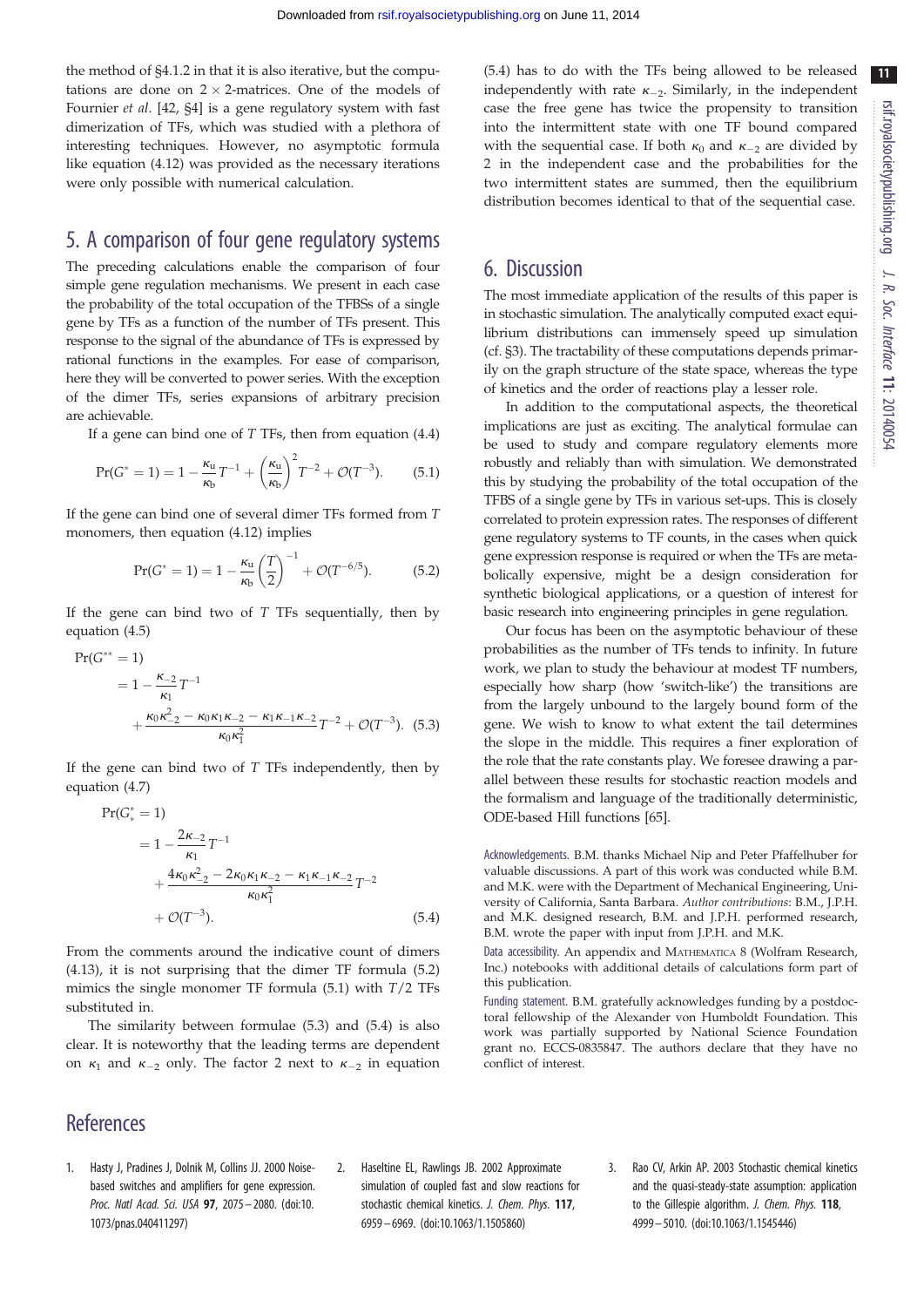<span id="page-11-0"></span>the method of §4.1.2 in that it is also iterative, but the computations are done on  $2 \times 2$ -matrices. One of the models of Fournier et al. [\[42](#page-12-0), §4] is a gene regulatory system with fast dimerization of TFs, which was studied with a plethora of interesting techniques. However, no asymptotic formula like equation (4.12) was provided as the necessary iterations were only possible with numerical calculation.

# 5. A comparison of four gene regulatory systems

The preceding calculations enable the comparison of four simple gene regulation mechanisms. We present in each case the probability of the total occupation of the TFBSs of a single gene by TFs as a function of the number of TFs present. This response to the signal of the abundance of TFs is expressed by rational functions in the examples. For ease of comparison, here they will be converted to power series. With the exception of the dimer TFs, series expansions of arbitrary precision are achievable.

If a gene can bind one of  $T$  TFs, then from equation  $(4.4)$ 

$$
Pr(G^* = 1) = 1 - \frac{\kappa_u}{\kappa_b} T^{-1} + \left(\frac{\kappa_u}{\kappa_b}\right)^2 T^{-2} + \mathcal{O}(T^{-3}). \tag{5.1}
$$

If the gene can bind one of several dimer TFs formed from T monomers, then equation (4.12) implies

$$
Pr(G^* = 1) = 1 - \frac{\kappa_u}{\kappa_b} \left(\frac{T}{2}\right)^{-1} + \mathcal{O}(T^{-6/5}). \tag{5.2}
$$

If the gene can bind two of  $T$  TFs sequentially, then by equation (4.5)

$$
\Pr(G^{**} = 1)
$$
  
=  $1 - \frac{\kappa_{-2}}{\kappa_1} T^{-1}$   
+  $\frac{\kappa_0 \kappa_{-2}^2 - \kappa_0 \kappa_1 \kappa_{-2} - \kappa_1 \kappa_{-1} \kappa_{-2}}{\kappa_0 \kappa_1^2} T^{-2} + \mathcal{O}(T^{-3}).$  (5.3)

If the gene can bind two of  $T$  TFs independently, then by equation (4.7)

$$
Pr(G_{*}^{*} = 1)
$$
  
=  $1 - \frac{2\kappa_{-2}}{\kappa_{1}} T^{-1}$   
+  $\frac{4\kappa_{0}\kappa_{-2}^{2} - 2\kappa_{0}\kappa_{1}\kappa_{-2} - \kappa_{1}\kappa_{-1}\kappa_{-2}}{\kappa_{0}\kappa_{1}^{2}} T^{-2}$   
+  $\mathcal{O}(T^{-3}).$  (5.4)

From the comments around the indicative count of dimers (4.13), it is not surprising that the dimer TF formula (5.2) mimics the single monomer TF formula  $(5.1)$  with  $T/2$  TFs substituted in.

The similarity between formulae (5.3) and (5.4) is also clear. It is noteworthy that the leading terms are dependent on  $\kappa_1$  and  $\kappa_{-2}$  only. The factor 2 next to  $\kappa_{-2}$  in equation

(5.4) has to do with the TFs being allowed to be released independently with rate  $\kappa_{-2}$ . Similarly, in the independent case the free gene has twice the propensity to transition into the intermittent state with one TF bound compared with the sequential case. If both  $\kappa_0$  and  $\kappa_{-2}$  are divided by 2 in the independent case and the probabilities for the two intermittent states are summed, then the equilibrium distribution becomes identical to that of the sequential case.

# 6. Discussion

The most immediate application of the results of this paper is in stochastic simulation. The analytically computed exact equilibrium distributions can immensely speed up simulation (cf. §3). The tractability of these computations depends primarily on the graph structure of the state space, whereas the type of kinetics and the order of reactions play a lesser role.

In addition to the computational aspects, the theoretical implications are just as exciting. The analytical formulae can be used to study and compare regulatory elements more robustly and reliably than with simulation. We demonstrated this by studying the probability of the total occupation of the TFBS of a single gene by TFs in various set-ups. This is closely correlated to protein expression rates. The responses of different gene regulatory systems to TF counts, in the cases when quick gene expression response is required or when the TFs are metabolically expensive, might be a design consideration for synthetic biological applications, or a question of interest for basic research into engineering principles in gene regulation.

Our focus has been on the asymptotic behaviour of these probabilities as the number of TFs tends to infinity. In future work, we plan to study the behaviour at modest TF numbers, especially how sharp (how 'switch-like') the transitions are from the largely unbound to the largely bound form of the gene. We wish to know to what extent the tail determines the slope in the middle. This requires a finer exploration of the role that the rate constants play. We foresee drawing a parallel between these results for stochastic reaction models and the formalism and language of the traditionally deterministic, ODE-based Hill functions [\[65](#page-13-0)].

Acknowledgements. B.M. thanks Michael Nip and Peter Pfaffelhuber for valuable discussions. A part of this work was conducted while B.M. and M.K. were with the Department of Mechanical Engineering, University of California, Santa Barbara. Author contributions: B.M., J.P.H. and M.K. designed research, B.M. and J.P.H. performed research, B.M. wrote the paper with input from J.P.H. and M.K.

Data accessibility. An appendix and MATHEMATICA 8 (Wolfram Research, Inc.) notebooks with additional details of calculations form part of this publication.

Funding statement. B.M. gratefully acknowledges funding by a postdoctoral fellowship of the Alexander von Humboldt Foundation. This work was partially supported by National Science Foundation grant no. ECCS-0835847. The authors declare that they have no conflict of interest.

# **References**

- 1. Hasty J, Pradines J, Dolnik M, Collins JJ. 2000 Noisebased switches and amplifiers for gene expression. Proc. Natl Acad. Sci. USA 97, 2075-2080. ([doi:10.](http://dx.doi.org/10.1073/pnas.040411297) [1073/pnas.040411297\)](http://dx.doi.org/10.1073/pnas.040411297)
- 2. Haseltine EL, Rawlings JB. 2002 Approximate simulation of coupled fast and slow reactions for stochastic chemical kinetics. J. Chem. Phys. 117, 6959– 6969. [\(doi:10.1063/1.1505860](http://dx.doi.org/10.1063/1.1505860))
- Rao CV, Arkin AP. 2003 Stochastic chemical kinetics and the quasi-steady-state assumption: application to the Gillespie algorithm. J. Chem. Phys. 118, 4999– 5010. ([doi:10.1063/1.1545446](http://dx.doi.org/10.1063/1.1545446))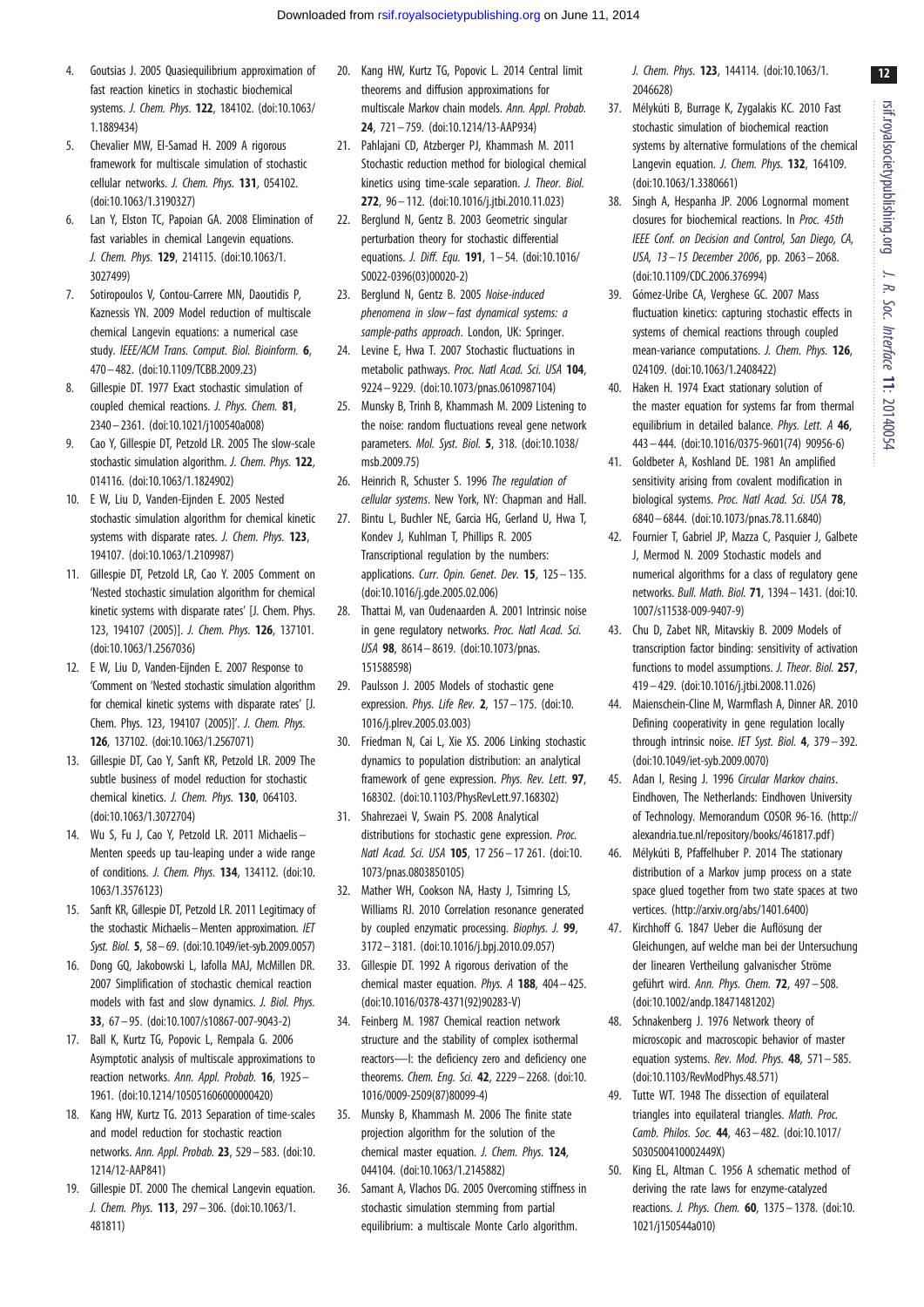- <span id="page-12-0"></span>4. Goutsias J. 2005 Quasiequilibrium approximation of fast reaction kinetics in stochastic biochemical systems. J. Chem. Phys. 122, 184102. ([doi:10.1063/](http://dx.doi.org/10.1063/1.1889434) [1.1889434\)](http://dx.doi.org/10.1063/1.1889434)
- 5. Chevalier MW, El-Samad H. 2009 A rigorous framework for multiscale simulation of stochastic cellular networks. J. Chem. Phys. 131, 054102. [\(doi:10.1063/1.3190327\)](http://dx.doi.org/10.1063/1.3190327)
- 6. Lan Y, Elston TC, Papoian GA. 2008 Elimination of fast variables in chemical Langevin equations. J. Chem. Phys. 129, 214115. ([doi:10.1063/1.](http://dx.doi.org/10.1063/1.3027499) [3027499\)](http://dx.doi.org/10.1063/1.3027499)
- 7. Sotiropoulos V, Contou-Carrere MN, Daoutidis P, Kaznessis YN. 2009 Model reduction of multiscale chemical Langevin equations: a numerical case study. IEEE/ACM Trans. Comput. Biol. Bioinform. 6, 470– 482. ([doi:10.1109/TCBB.2009.23](http://dx.doi.org/10.1109/TCBB.2009.23))
- 8. Gillespie DT. 1977 Exact stochastic simulation of coupled chemical reactions. J. Phys. Chem. 81, 2340 – 2361. [\(doi:10.1021/j100540a008](http://dx.doi.org/10.1021/j100540a008))
- 9. Cao Y, Gillespie DT, Petzold LR. 2005 The slow-scale stochastic simulation algorithm. J. Chem. Phys. 122, 014116. [\(doi:10.1063/1.1824902](http://dx.doi.org/10.1063/1.1824902))
- 10. E W, Liu D, Vanden-Eijnden E. 2005 Nested stochastic simulation algorithm for chemical kinetic systems with disparate rates. J. Chem. Phys. 123, 194107. [\(doi:10.1063/1.2109987](http://dx.doi.org/10.1063/1.2109987))
- 11. Gillespie DT, Petzold LR, Cao Y. 2005 Comment on 'Nested stochastic simulation algorithm for chemical kinetic systems with disparate rates' [J. Chem. Phys. 123, 194107 (2005)]. J. Chem. Phys. 126, 137101. [\(doi:10.1063/1.2567036\)](http://dx.doi.org/10.1063/1.2567036)
- 12. E W, Liu D, Vanden-Eijnden E. 2007 Response to 'Comment on 'Nested stochastic simulation algorithm for chemical kinetic systems with disparate rates' [J. Chem. Phys. 123, 194107 (2005)]'. J. Chem. Phys. 126, 137102. [\(doi:10.1063/1.2567071](http://dx.doi.org/10.1063/1.2567071))
- 13. Gillespie DT, Cao Y, Sanft KR, Petzold LR. 2009 The subtle business of model reduction for stochastic chemical kinetics. J. Chem. Phys. 130, 064103. [\(doi:10.1063/1.3072704\)](http://dx.doi.org/10.1063/1.3072704)
- 14. Wu S, Fu J, Cao Y, Petzold LR. 2011 Michaelis Menten speeds up tau-leaping under a wide range of conditions. J. Chem. Phys. 134, 134112. ([doi:10.](http://dx.doi.org/10.1063/1.3576123) [1063/1.3576123\)](http://dx.doi.org/10.1063/1.3576123)
- 15. Sanft KR, Gillespie DT, Petzold LR. 2011 Legitimacy of the stochastic Michaelis–Menten approximation. IET Syst. Biol. 5, 58–69. [\(doi:10.1049/iet-syb.2009.0057\)](http://dx.doi.org/10.1049/iet-syb.2009.0057)
- 16. Dong GQ, Jakobowski L, Iafolla MAJ, McMillen DR. 2007 Simplification of stochastic chemical reaction models with fast and slow dynamics. J. Biol. Phys. 33, 67 – 95. ([doi:10.1007/s10867-007-9043-2](http://dx.doi.org/10.1007/s10867-007-9043-2))
- 17. Ball K, Kurtz TG, Popovic L, Rempala G. 2006 Asymptotic analysis of multiscale approximations to reaction networks. Ann. Appl. Probab. 16, 1925 – 1961. ([doi:10.1214/105051606000000420\)](http://dx.doi.org/10.1214/105051606000000420)
- 18. Kang HW, Kurtz TG. 2013 Separation of time-scales and model reduction for stochastic reaction networks. Ann. Appl. Probab. 23, 529– 583. ([doi:10.](http://dx.doi.org/10.1214/12-AAP841) [1214/12-AAP841\)](http://dx.doi.org/10.1214/12-AAP841)
- 19. Gillespie DT. 2000 The chemical Langevin equation. J. Chem. Phys. 113, 297– 306. ([doi:10.1063/1.](http://dx.doi.org/10.1063/1.481811) [481811](http://dx.doi.org/10.1063/1.481811))
- 20. Kang HW, Kurtz TG, Popovic L. 2014 Central limit theorems and diffusion approximations for multiscale Markov chain models. Ann. Appl. Probab. 24, 721– 759. ([doi:10.1214/13-AAP934\)](http://dx.doi.org/10.1214/13-AAP934)
- 21. Pahlajani CD, Atzberger PJ, Khammash M. 2011 Stochastic reduction method for biological chemical kinetics using time-scale separation. J. Theor. Biol. 272, 96 – 112. ([doi:10.1016/j.jtbi.2010.11.023](http://dx.doi.org/10.1016/j.jtbi.2010.11.023))
- 22. Berglund N, Gentz B. 2003 Geometric singular perturbation theory for stochastic differential equations. J. Diff. Equ. 191, 1– 54. [\(doi:10.1016/](http://dx.doi.org/10.1016/S0022-0396(03)00020-2) [S0022-0396\(03\)00020-2](http://dx.doi.org/10.1016/S0022-0396(03)00020-2))
- 23. Berglund N, Gentz B. 2005 Noise-induced phenomena in slow-fast dynamical systems: a sample-paths approach. London, UK: Springer.
- 24. Levine E, Hwa T. 2007 Stochastic fluctuations in metabolic pathways. Proc. Natl Acad. Sci. USA 104, 9224– 9229. [\(doi:10.1073/pnas.0610987104\)](http://dx.doi.org/10.1073/pnas.0610987104)
- 25. Munsky B, Trinh B, Khammash M. 2009 Listening to the noise: random fluctuations reveal gene network parameters. Mol. Syst. Biol. 5, 318. [\(doi:10.1038/](http://dx.doi.org/10.1038/msb.2009.75) [msb.2009.75](http://dx.doi.org/10.1038/msb.2009.75))
- 26. Heinrich R, Schuster S. 1996 The regulation of cellular systems. New York, NY: Chapman and Hall.
- 27. Bintu L, Buchler NE, Garcia HG, Gerland U, Hwa T, Kondev J, Kuhlman T, Phillips R. 2005 Transcriptional regulation by the numbers: applications. Curr. Opin. Genet. Dev. 15, 125– 135. [\(doi:10.1016/j.gde.2005.02.006\)](http://dx.doi.org/10.1016/j.gde.2005.02.006)
- 28. Thattai M, van Oudenaarden A. 2001 Intrinsic noise in gene regulatory networks. Proc. Natl Acad. Sci. USA 98, 8614– 8619. ([doi:10.1073/pnas.](http://dx.doi.org/10.1073/pnas.151588598) [151588598](http://dx.doi.org/10.1073/pnas.151588598))
- 29. Paulsson J. 2005 Models of stochastic gene expression. Phys. Life Rev. 2, 157– 175. [\(doi:10.](http://dx.doi.org/10.1016/j.plrev.2005.03.003) [1016/j.plrev.2005.03.003](http://dx.doi.org/10.1016/j.plrev.2005.03.003))
- 30. Friedman N, Cai L, Xie XS. 2006 Linking stochastic dynamics to population distribution: an analytical framework of gene expression. Phys. Rev. Lett. 97, 168302. [\(doi:10.1103/PhysRevLett.97.168302](http://dx.doi.org/10.1103/PhysRevLett.97.168302))
- 31. Shahrezaei V, Swain PS. 2008 Analytical distributions for stochastic gene expression. Proc. Natl Acad. Sci. USA 105, 17 256– 17 261. ([doi:10.](http://dx.doi.org/10.1073/pnas.0803850105) [1073/pnas.0803850105](http://dx.doi.org/10.1073/pnas.0803850105))
- 32. Mather WH, Cookson NA, Hasty J, Tsimring LS, Williams RJ. 2010 Correlation resonance generated by coupled enzymatic processing. Biophys. J. 99, 3172– 3181. [\(doi:10.1016/j.bpj.2010.09.057](http://dx.doi.org/10.1016/j.bpj.2010.09.057))
- 33. Gillespie DT. 1992 A rigorous derivation of the chemical master equation. Phys. A 188, 404– 425. [\(doi:10.1016/0378-4371\(92\)90283-V](http://dx.doi.org/10.1016/0378-4371(92)90283-V))
- 34. Feinberg M. 1987 Chemical reaction network structure and the stability of complex isothermal reactors—I: the deficiency zero and deficiency one theorems. Chem. Eng. Sci. 42, 2229– 2268. [\(doi:10.](http://dx.doi.org/10.1016/0009-2509(87)80099-4) [1016/0009-2509\(87\)80099-4](http://dx.doi.org/10.1016/0009-2509(87)80099-4))
- 35. Munsky B, Khammash M. 2006 The finite state projection algorithm for the solution of the chemical master equation. J. Chem. Phys. 124, 044104. [\(doi:10.1063/1.2145882](http://dx.doi.org/10.1063/1.2145882))
- 36. Samant A, Vlachos DG. 2005 Overcoming stiffness in stochastic simulation stemming from partial equilibrium: a multiscale Monte Carlo algorithm.

J. Chem. Phys. 123, 144114. [\(doi:10.1063/1.](http://dx.doi.org/10.1063/1.2046628) [2046628](http://dx.doi.org/10.1063/1.2046628))

- 37. Mélykúti B, Burrage K, Zygalakis KC. 2010 Fast stochastic simulation of biochemical reaction systems by alternative formulations of the chemical Langevin equation. J. Chem. Phys. 132, 164109. ([doi:10.1063/1.3380661](http://dx.doi.org/10.1063/1.3380661))
- 38. Singh A, Hespanha JP. 2006 Lognormal moment closures for biochemical reactions. In Proc. 45th IEEE Conf. on Decision and Control, San Diego, CA, USA, 13– 15 December 2006, pp. 2063 – 2068. ([doi:10.1109/CDC.2006.376994](http://dx.doi.org/10.1109/CDC.2006.376994))
- 39. Gómez-Uribe CA, Verghese GC. 2007 Mass fluctuation kinetics: capturing stochastic effects in systems of chemical reactions through coupled mean-variance computations. J. Chem. Phys. 126, 024109. ([doi:10.1063/1.2408422](http://dx.doi.org/10.1063/1.2408422))
- 40. Haken H. 1974 Exact stationary solution of the master equation for systems far from thermal equilibrium in detailed balance. Phys. Lett. A 46, 443– 444. [\(doi:10.1016/0375-9601\(74\) 90956-6](http://dx.doi.org/10.1016/0375-9601(74)90956-6))
- 41. Goldbeter A, Koshland DE. 1981 An amplified sensitivity arising from covalent modification in biological systems. Proc. Natl Acad. Sci. USA 78, 6840– 6844. ([doi:10.1073/pnas.78.11.6840](http://dx.doi.org/10.1073/pnas.78.11.6840))
- 42. Fournier T, Gabriel JP, Mazza C, Pasquier J, Galbete J, Mermod N. 2009 Stochastic models and numerical algorithms for a class of regulatory gene networks. Bull. Math. Biol. 71, 1394 – 1431. [\(doi:10.](http://dx.doi.org/10.1007/s11538-009-9407-9) [1007/s11538-009-9407-9](http://dx.doi.org/10.1007/s11538-009-9407-9))
- 43. Chu D, Zabet NR, Mitavskiy B. 2009 Models of transcription factor binding: sensitivity of activation functions to model assumptions. J. Theor. Biol. 257, 419– 429. [\(doi:10.1016/j.jtbi.2008.11.026\)](http://dx.doi.org/10.1016/j.jtbi.2008.11.026)
- 44. Maienschein-Cline M, Warmflash A, Dinner AR. 2010 Defining cooperativity in gene regulation locally through intrinsic noise. IET Syst. Biol. 4, 379 – 392. ([doi:10.1049/iet-syb.2009.0070](http://dx.doi.org/10.1049/iet-syb.2009.0070))
- 45. Adan I, Resing J. 1996 Circular Markov chains. Eindhoven, The Netherlands: Eindhoven University of Technology. Memorandum COSOR 96-16. [\(http://](http://alexandria.tue.nl/repository/books/461817.pdf) [alexandria.tue.nl/repository/books/461817.pdf](http://alexandria.tue.nl/repository/books/461817.pdf))
- 46. Mélykúti B, Pfaffelhuber P. 2014 The stationary distribution of a Markov jump process on a state space glued together from two state spaces at two vertices. [\(http://arxiv.org/abs/1401.6400\)](http://arxiv.org/abs/1401.6400)
- 47. Kirchhoff G. 1847 Ueber die Auflösung der Gleichungen, auf welche man bei der Untersuchung der linearen Vertheilung galvanischer Ströme geführt wird. Ann. Phys. Chem.  $72.497 - 508$ . ([doi:10.1002/andp.18471481202](http://dx.doi.org/10.1002/andp.18471481202))
- 48. Schnakenberg J. 1976 Network theory of microscopic and macroscopic behavior of master equation systems. Rev. Mod. Phys. 48, 571– 585. ([doi:10.1103/RevModPhys.48.571](http://dx.doi.org/10.1103/RevModPhys.48.571))
- 49. Tutte WT. 1948 The dissection of equilateral triangles into equilateral triangles. Math. Proc. Camb. Philos. Soc. 44, 463 – 482. [\(doi:10.1017/](http://dx.doi.org/10.1017/S030500410002449X) [S030500410002449X](http://dx.doi.org/10.1017/S030500410002449X))
- 50. King EL, Altman C. 1956 A schematic method of deriving the rate laws for enzyme-catalyzed reactions. J. Phys. Chem. 60, 1375– 1378. [\(doi:10.](http://dx.doi.org/10.1021/j150544a010) [1021/j150544a010\)](http://dx.doi.org/10.1021/j150544a010)